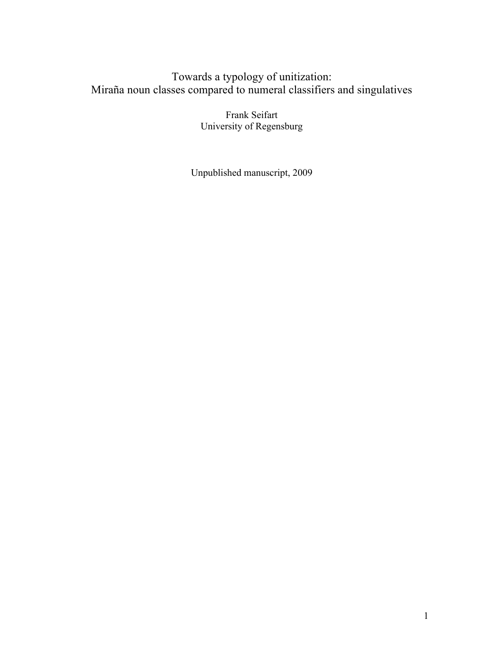### Towards a typology of unitization: Miraña noun classes compared to numeral classifiers and singulatives

Frank Seifart University of Regensburg

Unpublished manuscript, 2009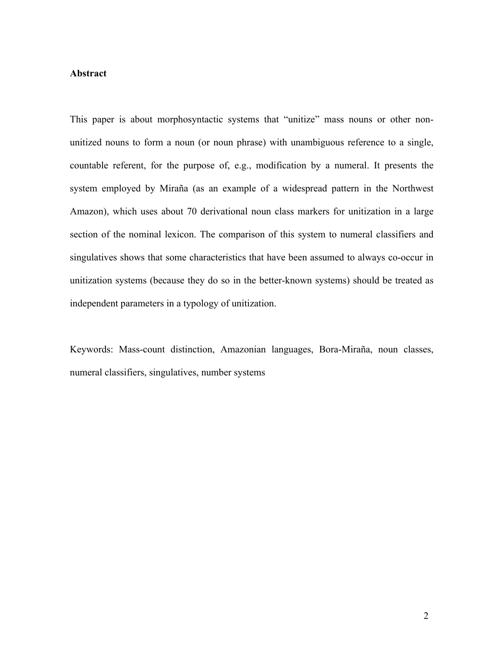#### **Abstract**

This paper is about morphosyntactic systems that "unitize" mass nouns or other nonunitized nouns to form a noun (or noun phrase) with unambiguous reference to a single, countable referent, for the purpose of, e.g., modification by a numeral. It presents the system employed by Miraña (as an example of a widespread pattern in the Northwest Amazon), which uses about 70 derivational noun class markers for unitization in a large section of the nominal lexicon. The comparison of this system to numeral classifiers and singulatives shows that some characteristics that have been assumed to always co-occur in unitization systems (because they do so in the better-known systems) should be treated as independent parameters in a typology of unitization.

Keywords: Mass-count distinction, Amazonian languages, Bora-Miraña, noun classes, numeral classifiers, singulatives, number systems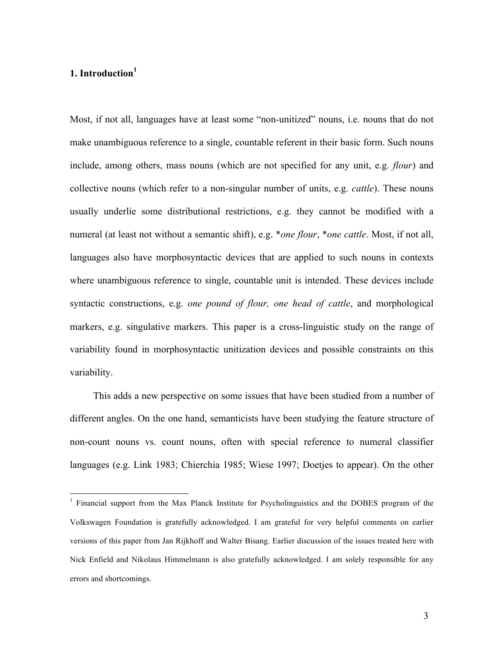#### **1. Introduction1**

Most, if not all, languages have at least some "non-unitized" nouns, i.e. nouns that do not make unambiguous reference to a single, countable referent in their basic form. Such nouns include, among others, mass nouns (which are not specified for any unit, e.g. *flour*) and collective nouns (which refer to a non-singular number of units, e.g. *cattle*). These nouns usually underlie some distributional restrictions, e.g. they cannot be modified with a numeral (at least not without a semantic shift), e.g. \**one flour*, \**one cattle*. Most, if not all, languages also have morphosyntactic devices that are applied to such nouns in contexts where unambiguous reference to single, countable unit is intended. These devices include syntactic constructions, e.g. *one pound of flour, one head of cattle*, and morphological markers, e.g. singulative markers. This paper is a cross-linguistic study on the range of variability found in morphosyntactic unitization devices and possible constraints on this variability.

This adds a new perspective on some issues that have been studied from a number of different angles. On the one hand, semanticists have been studying the feature structure of non-count nouns vs. count nouns, often with special reference to numeral classifier languages (e.g. Link 1983; Chierchia 1985; Wiese 1997; Doetjes to appear). On the other

 $<sup>1</sup>$  Financial support from the Max Planck Institute for Psycholinguistics and the DOBES program of the</sup> Volkswagen Foundation is gratefully acknowledged. I am grateful for very helpful comments on earlier versions of this paper from Jan Rijkhoff and Walter Bisang. Earlier discussion of the issues treated here with Nick Enfield and Nikolaus Himmelmann is also gratefully acknowledged. I am solely responsible for any errors and shortcomings.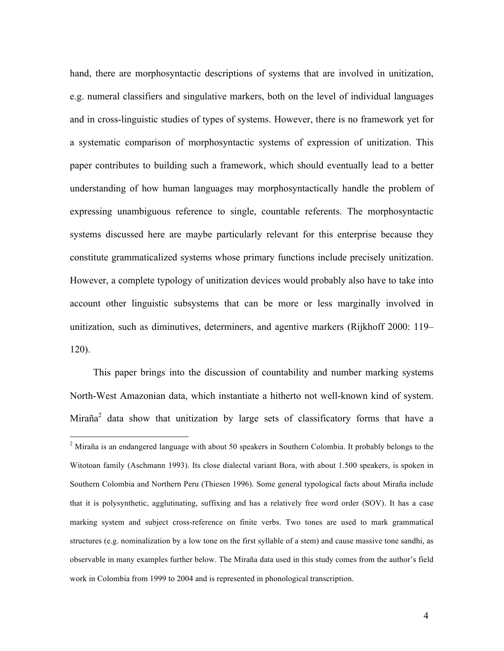hand, there are morphosyntactic descriptions of systems that are involved in unitization, e.g. numeral classifiers and singulative markers, both on the level of individual languages and in cross-linguistic studies of types of systems. However, there is no framework yet for a systematic comparison of morphosyntactic systems of expression of unitization. This paper contributes to building such a framework, which should eventually lead to a better understanding of how human languages may morphosyntactically handle the problem of expressing unambiguous reference to single, countable referents. The morphosyntactic systems discussed here are maybe particularly relevant for this enterprise because they constitute grammaticalized systems whose primary functions include precisely unitization. However, a complete typology of unitization devices would probably also have to take into account other linguistic subsystems that can be more or less marginally involved in unitization, such as diminutives, determiners, and agentive markers (Rijkhoff 2000: 119– 120).

This paper brings into the discussion of countability and number marking systems North-West Amazonian data, which instantiate a hitherto not well-known kind of system.  $Miraña<sup>2</sup> data show that unitization by large sets of classifier of$ 

<sup>&</sup>lt;sup>2</sup> Miraña is an endangered language with about 50 speakers in Southern Colombia. It probably belongs to the Witotoan family (Aschmann 1993). Its close dialectal variant Bora, with about 1.500 speakers, is spoken in Southern Colombia and Northern Peru (Thiesen 1996). Some general typological facts about Miraña include that it is polysynthetic, agglutinating, suffixing and has a relatively free word order (SOV). It has a case marking system and subject cross-reference on finite verbs. Two tones are used to mark grammatical structures (e.g. nominalization by a low tone on the first syllable of a stem) and cause massive tone sandhi, as observable in many examples further below. The Miraña data used in this study comes from the author's field work in Colombia from 1999 to 2004 and is represented in phonological transcription.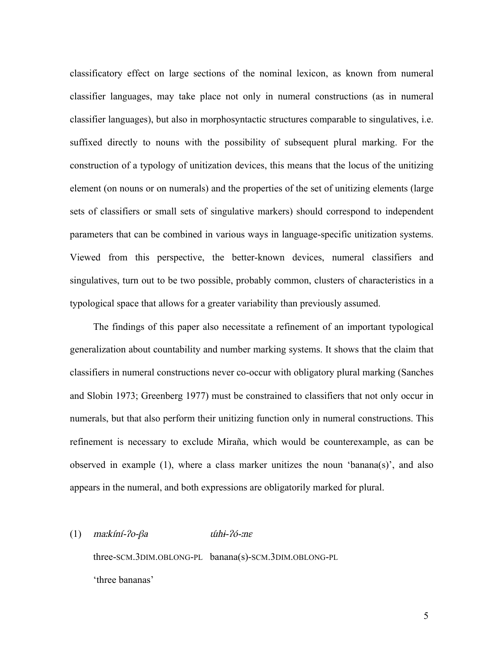classificatory effect on large sections of the nominal lexicon, as known from numeral classifier languages, may take place not only in numeral constructions (as in numeral classifier languages), but also in morphosyntactic structures comparable to singulatives, i.e. suffixed directly to nouns with the possibility of subsequent plural marking. For the construction of a typology of unitization devices, this means that the locus of the unitizing element (on nouns or on numerals) and the properties of the set of unitizing elements (large sets of classifiers or small sets of singulative markers) should correspond to independent parameters that can be combined in various ways in language-specific unitization systems. Viewed from this perspective, the better-known devices, numeral classifiers and singulatives, turn out to be two possible, probably common, clusters of characteristics in a typological space that allows for a greater variability than previously assumed.

The findings of this paper also necessitate a refinement of an important typological generalization about countability and number marking systems. It shows that the claim that classifiers in numeral constructions never co-occur with obligatory plural marking (Sanches and Slobin 1973; Greenberg 1977) must be constrained to classifiers that not only occur in numerals, but that also perform their unitizing function only in numeral constructions. This refinement is necessary to exclude Miraña, which would be counterexample, as can be observed in example (1), where a class marker unitizes the noun 'banana(s)', and also appears in the numeral, and both expressions are obligatorily marked for plural.

#### (1) maːkíní- $2o$ - $\beta a$  *úhi-* $2o$ *-ne*

three-SCM.3DIM.OBLONG-PL banana(s)-SCM.3DIM.OBLONG-PL 'three bananas'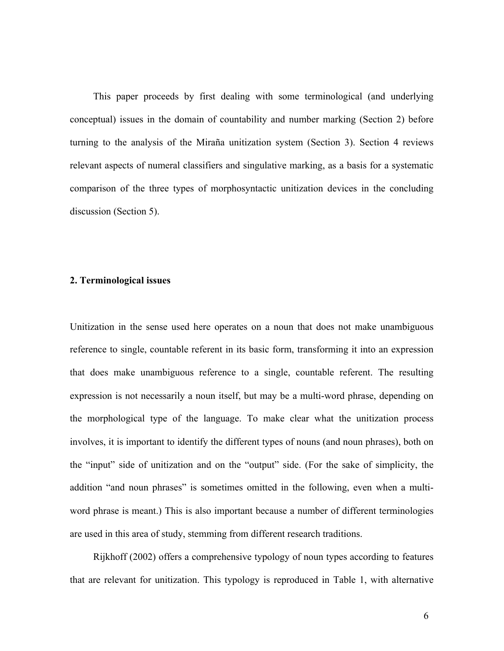This paper proceeds by first dealing with some terminological (and underlying conceptual) issues in the domain of countability and number marking (Section 2) before turning to the analysis of the Miraña unitization system (Section 3). Section 4 reviews relevant aspects of numeral classifiers and singulative marking, as a basis for a systematic comparison of the three types of morphosyntactic unitization devices in the concluding discussion (Section 5).

#### **2. Terminological issues**

Unitization in the sense used here operates on a noun that does not make unambiguous reference to single, countable referent in its basic form, transforming it into an expression that does make unambiguous reference to a single, countable referent. The resulting expression is not necessarily a noun itself, but may be a multi-word phrase, depending on the morphological type of the language. To make clear what the unitization process involves, it is important to identify the different types of nouns (and noun phrases), both on the "input" side of unitization and on the "output" side. (For the sake of simplicity, the addition "and noun phrases" is sometimes omitted in the following, even when a multiword phrase is meant.) This is also important because a number of different terminologies are used in this area of study, stemming from different research traditions.

Rijkhoff (2002) offers a comprehensive typology of noun types according to features that are relevant for unitization. This typology is reproduced in Table 1, with alternative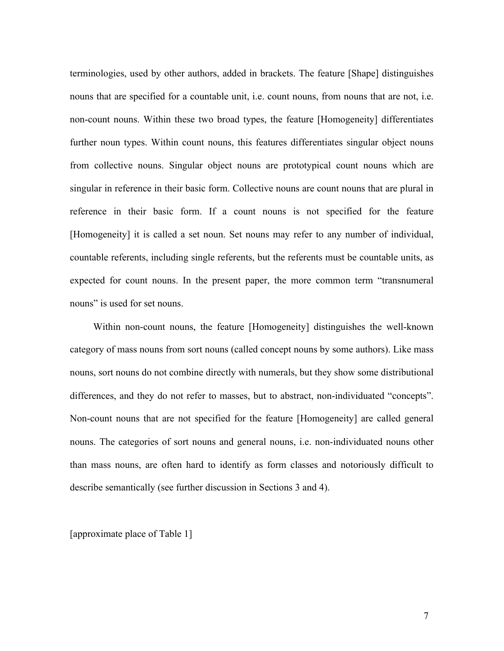terminologies, used by other authors, added in brackets. The feature [Shape] distinguishes nouns that are specified for a countable unit, i.e. count nouns, from nouns that are not, i.e. non-count nouns. Within these two broad types, the feature [Homogeneity] differentiates further noun types. Within count nouns, this features differentiates singular object nouns from collective nouns. Singular object nouns are prototypical count nouns which are singular in reference in their basic form. Collective nouns are count nouns that are plural in reference in their basic form. If a count nouns is not specified for the feature [Homogeneity] it is called a set noun. Set nouns may refer to any number of individual, countable referents, including single referents, but the referents must be countable units, as expected for count nouns. In the present paper, the more common term "transnumeral nouns" is used for set nouns.

Within non-count nouns, the feature [Homogeneity] distinguishes the well-known category of mass nouns from sort nouns (called concept nouns by some authors). Like mass nouns, sort nouns do not combine directly with numerals, but they show some distributional differences, and they do not refer to masses, but to abstract, non-individuated "concepts". Non-count nouns that are not specified for the feature [Homogeneity] are called general nouns. The categories of sort nouns and general nouns, i.e. non-individuated nouns other than mass nouns, are often hard to identify as form classes and notoriously difficult to describe semantically (see further discussion in Sections 3 and 4).

[approximate place of Table 1]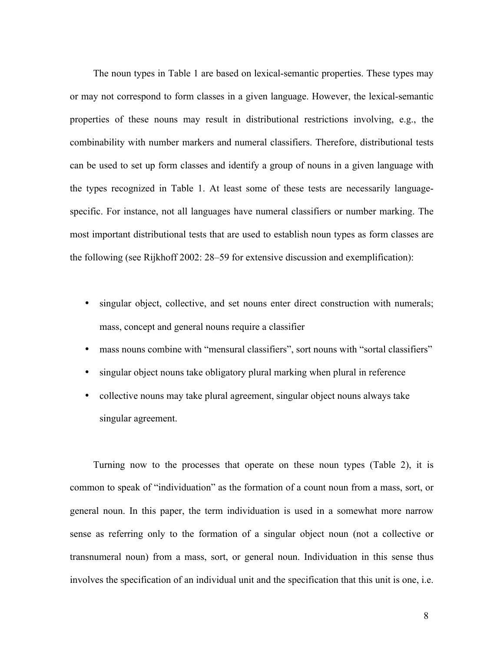The noun types in Table 1 are based on lexical-semantic properties. These types may or may not correspond to form classes in a given language. However, the lexical-semantic properties of these nouns may result in distributional restrictions involving, e.g., the combinability with number markers and numeral classifiers. Therefore, distributional tests can be used to set up form classes and identify a group of nouns in a given language with the types recognized in Table 1. At least some of these tests are necessarily languagespecific. For instance, not all languages have numeral classifiers or number marking. The most important distributional tests that are used to establish noun types as form classes are the following (see Rijkhoff 2002: 28–59 for extensive discussion and exemplification):

- singular object, collective, and set nouns enter direct construction with numerals; mass, concept and general nouns require a classifier
- mass nouns combine with "mensural classifiers", sort nouns with "sortal classifiers"
- singular object nouns take obligatory plural marking when plural in reference
- collective nouns may take plural agreement, singular object nouns always take singular agreement.

Turning now to the processes that operate on these noun types (Table 2), it is common to speak of "individuation" as the formation of a count noun from a mass, sort, or general noun. In this paper, the term individuation is used in a somewhat more narrow sense as referring only to the formation of a singular object noun (not a collective or transnumeral noun) from a mass, sort, or general noun. Individuation in this sense thus involves the specification of an individual unit and the specification that this unit is one, i.e.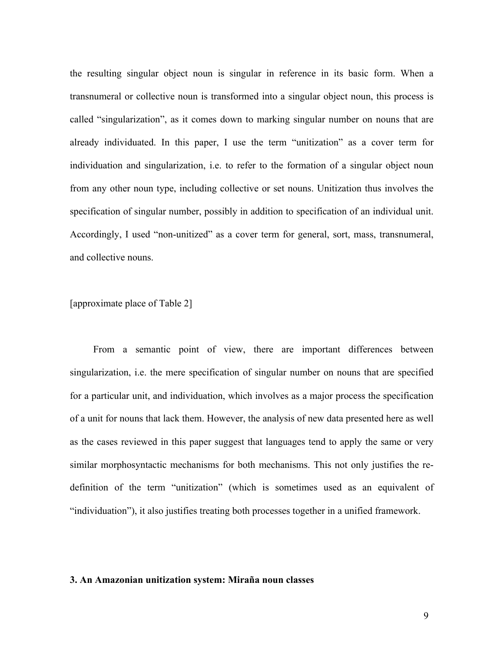the resulting singular object noun is singular in reference in its basic form. When a transnumeral or collective noun is transformed into a singular object noun, this process is called "singularization", as it comes down to marking singular number on nouns that are already individuated. In this paper, I use the term "unitization" as a cover term for individuation and singularization, i.e. to refer to the formation of a singular object noun from any other noun type, including collective or set nouns. Unitization thus involves the specification of singular number, possibly in addition to specification of an individual unit. Accordingly, I used "non-unitized" as a cover term for general, sort, mass, transnumeral, and collective nouns.

#### [approximate place of Table 2]

From a semantic point of view, there are important differences between singularization, i.e. the mere specification of singular number on nouns that are specified for a particular unit, and individuation, which involves as a major process the specification of a unit for nouns that lack them. However, the analysis of new data presented here as well as the cases reviewed in this paper suggest that languages tend to apply the same or very similar morphosyntactic mechanisms for both mechanisms. This not only justifies the redefinition of the term "unitization" (which is sometimes used as an equivalent of "individuation"), it also justifies treating both processes together in a unified framework.

#### **3. An Amazonian unitization system: Miraña noun classes**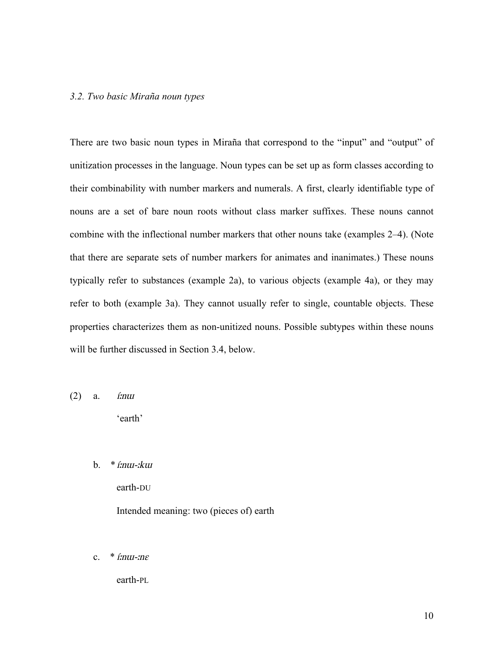#### *3.2. Two basic Miraña noun types*

There are two basic noun types in Miraña that correspond to the "input" and "output" of unitization processes in the language. Noun types can be set up as form classes according to their combinability with number markers and numerals. A first, clearly identifiable type of nouns are a set of bare noun roots without class marker suffixes. These nouns cannot combine with the inflectional number markers that other nouns take (examples 2–4). (Note that there are separate sets of number markers for animates and inanimates.) These nouns typically refer to substances (example 2a), to various objects (example 4a), or they may refer to both (example 3a). They cannot usually refer to single, countable objects. These properties characterizes them as non-unitized nouns. Possible subtypes within these nouns will be further discussed in Section 3.4, below.

 $(2)$  a. *í:nui* 

'earth'

 $b.$  \* *í:nu-:kui* 

earth-DU Intended meaning: two (pieces of) earth

c.  $*$  *í:*n*u*-*:nε* 

earth-PL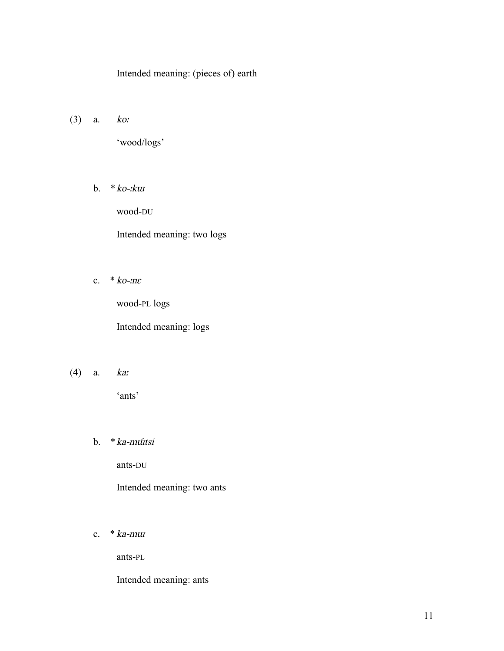#### Intended meaning: (pieces of) earth

(3) a. ko<sup>ː</sup>

'wood/logs'

b.  $*ko$ - $ku$ 

wood-DU

Intended meaning: two logs

c.  $*$  ko- $n\varepsilon$ 

wood-PL logs

Intended meaning: logs

(4) a. ka<sup>ː</sup>

'ants'

b. \*ka-mɯ́tsi

ants-DU

Intended meaning: two ants

c.  $*$  ka-mu

ants-PL

Intended meaning: ants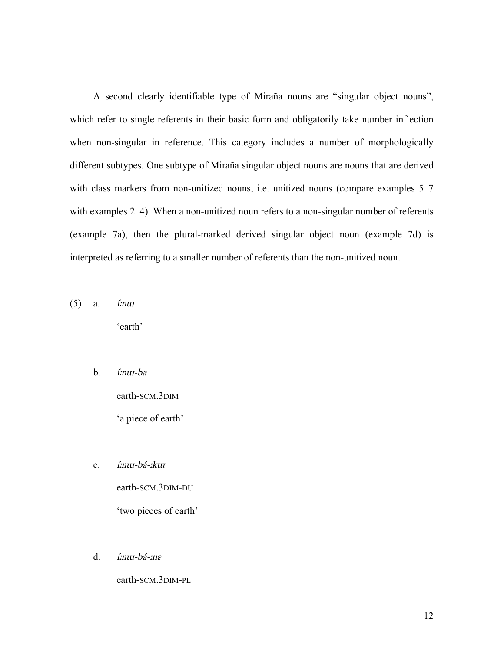A second clearly identifiable type of Miraña nouns are "singular object nouns", which refer to single referents in their basic form and obligatorily take number inflection when non-singular in reference. This category includes a number of morphologically different subtypes. One subtype of Miraña singular object nouns are nouns that are derived with class markers from non-unitized nouns, i.e. unitized nouns (compare examples 5–7 with examples 2–4). When a non-unitized noun refers to a non-singular number of referents (example 7a), then the plural-marked derived singular object noun (example 7d) is interpreted as referring to a smaller number of referents than the non-unitized noun.

- $(5)$  a. *í:nui* 'earth'
	- b. <sup>í</sup>ːnɯ-ba

earth-SCM.3DIM 'a piece of earth'

c. <sup>í</sup>ːnɯ-bá-ːk<sup>ɯ</sup>

earth-SCM.3DIM-DU 'two pieces of earth'

d. <sup>í</sup>ːnɯ-bá-ːn<sup>ɛ</sup>

earth-SCM.3DIM-PL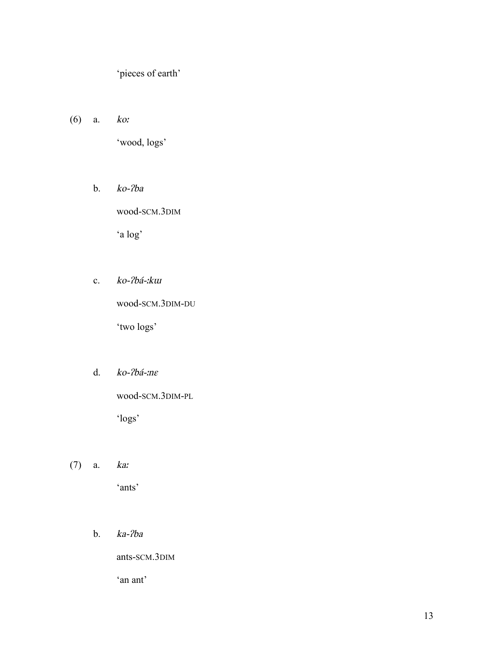'pieces of earth'

(6) a. ko<sup>ː</sup>

'wood, logs'

b. ko-ʔba

wood-SCM.3DIM

'a log'

c. ko-ʔbá-ːk<sup>ɯ</sup>

wood-SCM.3DIM-DU

'two logs'

d. ko-ʔbá-ːn<sup>ɛ</sup>

wood-SCM.3DIM-PL

'logs'

(7) a. ka<sup>ː</sup>

'ants'

b. ka-ʔba

ants-SCM.3DIM

'an ant'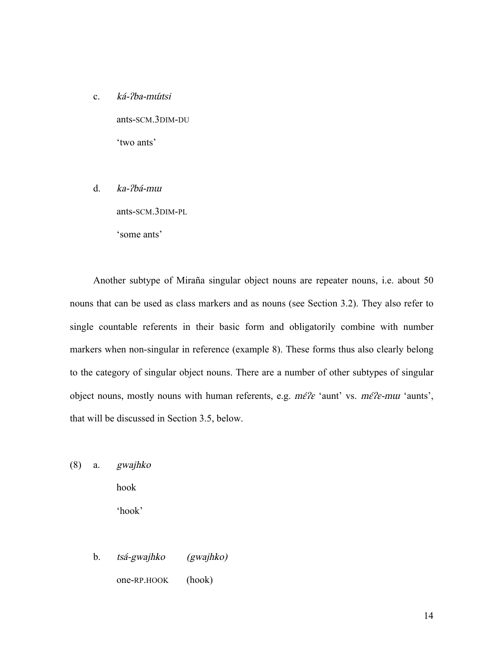c. ká-ʔba-mɯ́tsi

ants-SCM.3DIM-DU 'two ants'

d. ka-ʔbá-m<sup>ɯ</sup>

ants-SCM.3DIM-PL

'some ants'

Another subtype of Miraña singular object nouns are repeater nouns, i.e. about 50 nouns that can be used as class markers and as nouns (see Section 3.2). They also refer to single countable referents in their basic form and obligatorily combine with number markers when non-singular in reference (example 8). These forms thus also clearly belong to the category of singular object nouns. There are a number of other subtypes of singular object nouns, mostly nouns with human referents, e.g.  $m\acute{\epsilon}/\epsilon$  'aunt' vs.  $m\acute{\epsilon}/\epsilon$ -mu 'aunts', that will be discussed in Section 3.5, below.

(8) a. gwajhko

hook 'hook'

b. tsá-gwajhko (gwajhko) one-RP.HOOK (hook)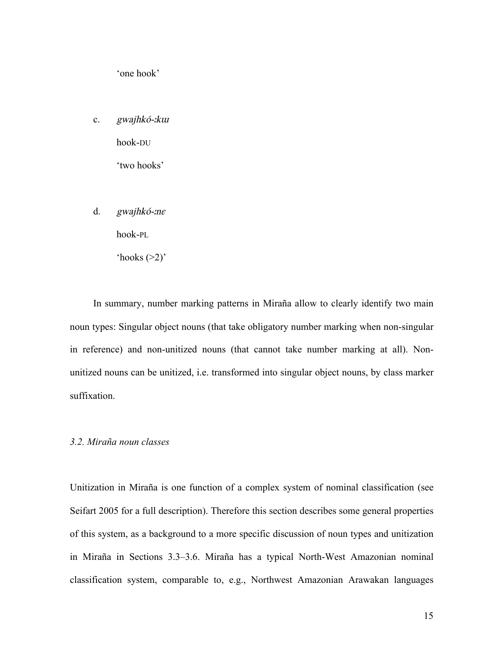'one hook'

c. gwajhkó-ːk<sup>ɯ</sup>

hook-DU

'two hooks'

d. gwajhkó-ːn<sup>ɛ</sup>

hook-PL

'hooks  $(>2)$ '

In summary, number marking patterns in Miraña allow to clearly identify two main noun types: Singular object nouns (that take obligatory number marking when non-singular in reference) and non-unitized nouns (that cannot take number marking at all). Nonunitized nouns can be unitized, i.e. transformed into singular object nouns, by class marker suffixation.

#### *3.2. Miraña noun classes*

Unitization in Miraña is one function of a complex system of nominal classification (see Seifart 2005 for a full description). Therefore this section describes some general properties of this system, as a background to a more specific discussion of noun types and unitization in Miraña in Sections 3.3–3.6. Miraña has a typical North-West Amazonian nominal classification system, comparable to, e.g., Northwest Amazonian Arawakan languages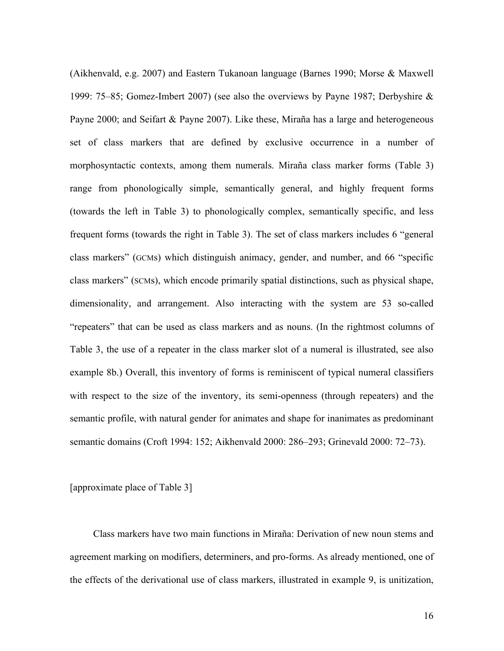(Aikhenvald, e.g. 2007) and Eastern Tukanoan language (Barnes 1990; Morse & Maxwell 1999: 75–85; Gomez-Imbert 2007) (see also the overviews by Payne 1987; Derbyshire & Payne 2000; and Seifart & Payne 2007). Like these, Miraña has a large and heterogeneous set of class markers that are defined by exclusive occurrence in a number of morphosyntactic contexts, among them numerals. Miraña class marker forms (Table 3) range from phonologically simple, semantically general, and highly frequent forms (towards the left in Table 3) to phonologically complex, semantically specific, and less frequent forms (towards the right in Table 3). The set of class markers includes 6 "general class markers" (GCMs) which distinguish animacy, gender, and number, and 66 "specific class markers" (SCMs), which encode primarily spatial distinctions, such as physical shape, dimensionality, and arrangement. Also interacting with the system are 53 so-called "repeaters" that can be used as class markers and as nouns. (In the rightmost columns of Table 3, the use of a repeater in the class marker slot of a numeral is illustrated, see also example 8b.) Overall, this inventory of forms is reminiscent of typical numeral classifiers with respect to the size of the inventory, its semi-openness (through repeaters) and the semantic profile, with natural gender for animates and shape for inanimates as predominant semantic domains (Croft 1994: 152; Aikhenvald 2000: 286–293; Grinevald 2000: 72–73).

[approximate place of Table 3]

Class markers have two main functions in Miraña: Derivation of new noun stems and agreement marking on modifiers, determiners, and pro-forms. As already mentioned, one of the effects of the derivational use of class markers, illustrated in example 9, is unitization,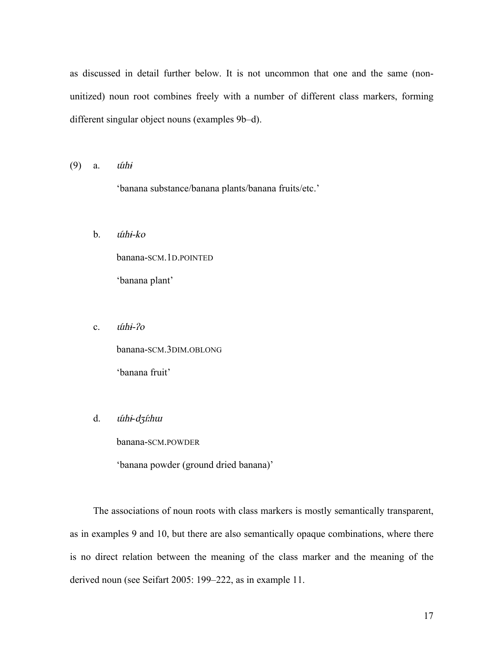as discussed in detail further below. It is not uncommon that one and the same (nonunitized) noun root combines freely with a number of different class markers, forming different singular object nouns (examples 9b–d).

 $(9)$  a.  $\hat{u}$ hi

'banana substance/banana plants/banana fruits/etc.'

b. ɯ́hɨ-ko

banana-SCM.1D.POINTED 'banana plant'

c. *úthi-?o* 

banana-SCM.3DIM.OBLONG 'banana fruit'

#### d. ɯ́hɨ-dʒíːh<sup>ɯ</sup>

banana-SCM.POWDER

'banana powder (ground dried banana)'

The associations of noun roots with class markers is mostly semantically transparent, as in examples 9 and 10, but there are also semantically opaque combinations, where there is no direct relation between the meaning of the class marker and the meaning of the derived noun (see Seifart 2005: 199–222, as in example 11.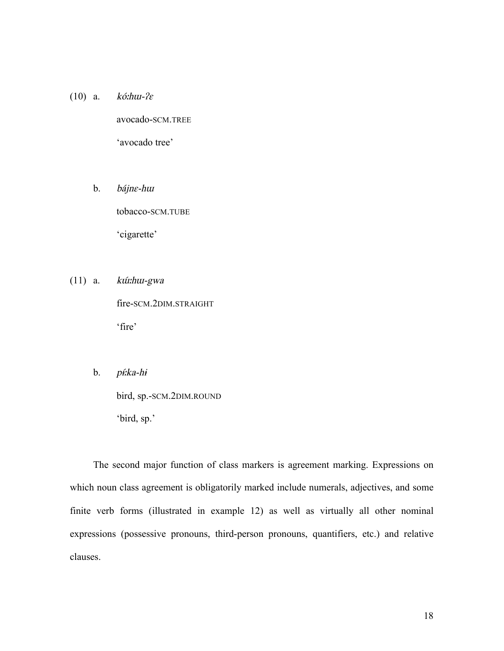(10) a.  $k$ *ó:hui-?* $\varepsilon$ avocado-SCM.TREE 'avocado tree'

> b. bájnɛ-h<sup>ɯ</sup> tobacco-SCM.TUBE 'cigarette'

 $(11)$  a. *kúi:hui-gwa* fire-SCM.2DIM.STRAIGHT 'fire'

b. *pí:ka-hi* 

bird, sp.-SCM.2DIM.ROUND 'bird, sp.'

The second major function of class markers is agreement marking. Expressions on which noun class agreement is obligatorily marked include numerals, adjectives, and some finite verb forms (illustrated in example 12) as well as virtually all other nominal expressions (possessive pronouns, third-person pronouns, quantifiers, etc.) and relative clauses.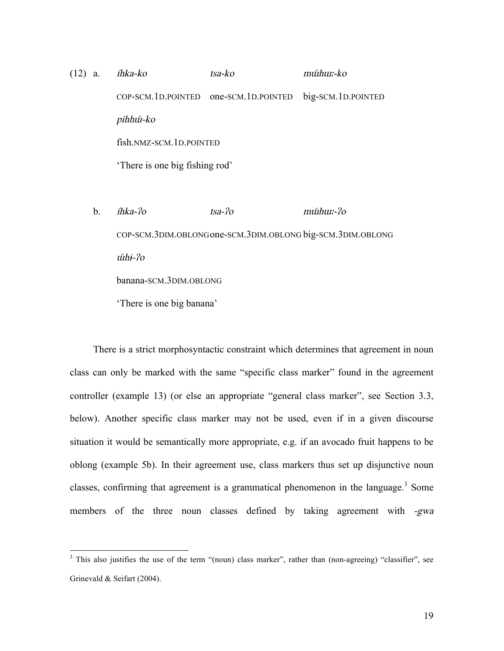# (12) a. íhka-ko tsa-ko <sup>m</sup>ɯ́hɯː-ko COP-SCM.1D.POINTED one-SCM.1D.POINTED big-SCM.1D.POINTED pihhúí-ko fish.NMZ-SCM.1D.POINTED 'There is one big fishing rod' b. íhka-ʔ<sup>o</sup> tsa-ʔ<sup>o</sup> <sup>m</sup>ɯ́hɯː-ʔ<sup>o</sup>

COP-SCM.3DIM.OBLONGone-SCM.3DIM.OBLONG big-SCM.3DIM.OBLONG ɯ́hɨ-ʔ<sup>o</sup> banana-SCM.3DIM.OBLONG 'There is one big banana'

There is a strict morphosyntactic constraint which determines that agreement in noun class can only be marked with the same "specific class marker" found in the agreement controller (example 13) (or else an appropriate "general class marker", see Section 3.3, below). Another specific class marker may not be used, even if in a given discourse situation it would be semantically more appropriate, e.g. if an avocado fruit happens to be oblong (example 5b). In their agreement use, class markers thus set up disjunctive noun classes, confirming that agreement is a grammatical phenomenon in the language.<sup>3</sup> Some members of the three noun classes defined by taking agreement with -gwa

<sup>&</sup>lt;sup>3</sup> This also justifies the use of the term "(noun) class marker", rather than (non-agreeing) "classifier", see Grinevald & Seifart (2004).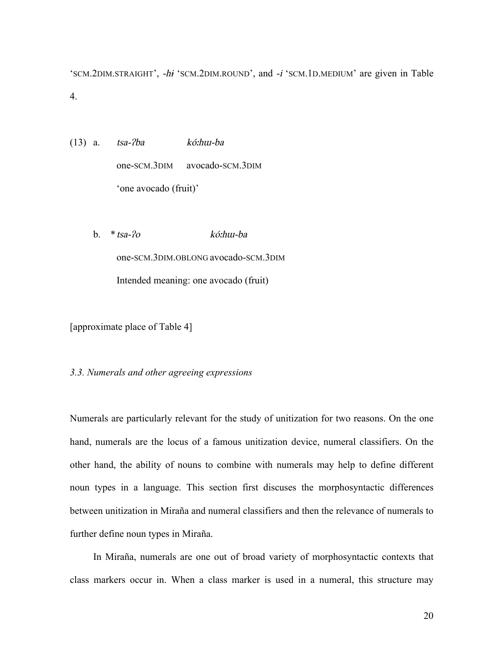'SCM.2DIM.STRAIGHT', -h<sup>ɨ</sup> 'SCM.2DIM.ROUND', and -i 'SCM.1D.MEDIUM' are given in Table 4.

- (13) a. tsa-ʔba kóːhɯ-ba one-SCM.3DIM avocado-SCM.3DIM 'one avocado (fruit)'
	- b. \*tsa-ʔ<sup>o</sup> kóːhɯ-ba one-SCM.3DIM.OBLONG avocado-SCM.3DIM Intended meaning: one avocado (fruit)

[approximate place of Table 4]

#### *3.3. Numerals and other agreeing expressions*

Numerals are particularly relevant for the study of unitization for two reasons. On the one hand, numerals are the locus of a famous unitization device, numeral classifiers. On the other hand, the ability of nouns to combine with numerals may help to define different noun types in a language. This section first discuses the morphosyntactic differences between unitization in Miraña and numeral classifiers and then the relevance of numerals to further define noun types in Miraña.

In Miraña, numerals are one out of broad variety of morphosyntactic contexts that class markers occur in. When a class marker is used in a numeral, this structure may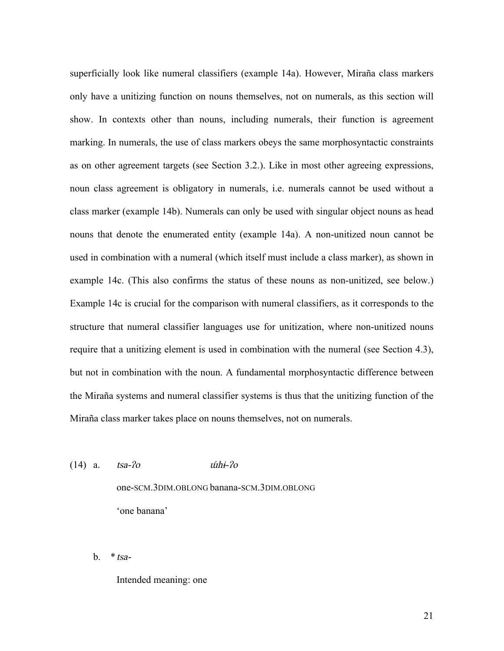superficially look like numeral classifiers (example 14a). However, Miraña class markers only have a unitizing function on nouns themselves, not on numerals, as this section will show. In contexts other than nouns, including numerals, their function is agreement marking. In numerals, the use of class markers obeys the same morphosyntactic constraints as on other agreement targets (see Section 3.2.). Like in most other agreeing expressions, noun class agreement is obligatory in numerals, i.e. numerals cannot be used without a class marker (example 14b). Numerals can only be used with singular object nouns as head nouns that denote the enumerated entity (example 14a). A non-unitized noun cannot be used in combination with a numeral (which itself must include a class marker), as shown in example 14c. (This also confirms the status of these nouns as non-unitized, see below.) Example 14c is crucial for the comparison with numeral classifiers, as it corresponds to the structure that numeral classifier languages use for unitization, where non-unitized nouns require that a unitizing element is used in combination with the numeral (see Section 4.3), but not in combination with the noun. A fundamental morphosyntactic difference between the Miraña systems and numeral classifier systems is thus that the unitizing function of the Miraña class marker takes place on nouns themselves, not on numerals.

- $(14)$  a.  $tsa-2o$   $\omega$   $\omega$ hi- $2o$ one-SCM.3DIM.OBLONG banana-SCM.3DIM.OBLONG 'one banana'
	- b.  $*tsa-$

Intended meaning: one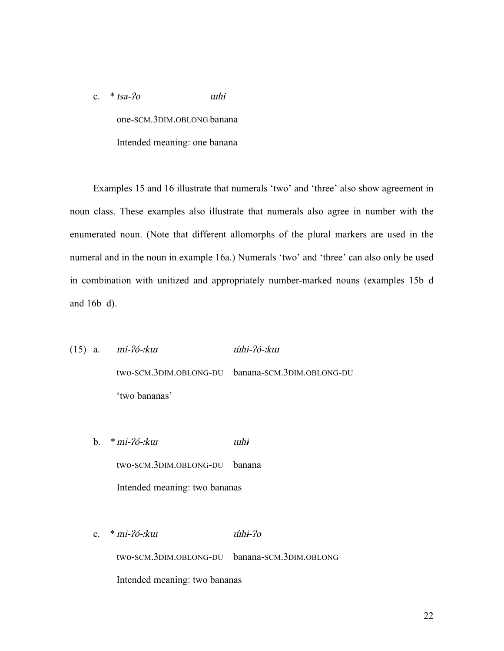c.  $*$  tsa- $2\sigma$  uthi one-SCM.3DIM.OBLONG banana Intended meaning: one banana

Examples 15 and 16 illustrate that numerals 'two' and 'three' also show agreement in noun class. These examples also illustrate that numerals also agree in number with the enumerated noun. (Note that different allomorphs of the plural markers are used in the numeral and in the noun in example 16a.) Numerals 'two' and 'three' can also only be used in combination with unitized and appropriately number-marked nouns (examples 15b–d and 16b–d).

(15) a. mi-ʔó-ːk<sup>ɯ</sup> ɯ́hɨ-ʔó-ːk<sup>ɯ</sup> two-SCM.3DIM.OBLONG-DU banana-SCM.3DIM.OBLONG-DU 'two bananas'

b. \*mi-ʔó-ːk<sup>ɯ</sup> <sup>ɯ</sup>h<sup>ɨ</sup> two-SCM.3DIM.OBLONG-DU banana Intended meaning: two bananas

c. \* mi-ʔó-ːk<sup>ɯ</sup> ɯ́hɨ-ʔ<sup>o</sup> two-SCM.3DIM.OBLONG-DU banana-SCM.3DIM.OBLONG Intended meaning: two bananas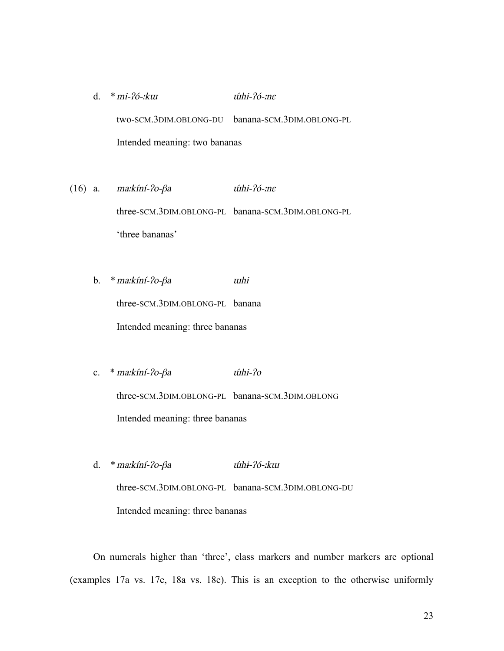- d. \*mi-ʔó-ːk<sup>ɯ</sup> ɯ́hɨ-ʔó-ːn<sup>ɛ</sup> two-SCM.3DIM.OBLONG-DU banana-SCM.3DIM.OBLONG-PL Intended meaning: two bananas
- (16) a. ma: $k$ íní- $2o$ - $\beta$ a *úthi-* $2o$ *-*: $n\varepsilon$ three-SCM.3DIM.OBLONG-PL banana-SCM.3DIM.OBLONG-PL 'three bananas'
	- b. \*maːkíní-ʔo-β<sup>a</sup> <sup>ɯ</sup>h<sup>ɨ</sup> three-SCM.3DIM.OBLONG-PL banana Intended meaning: three bananas
	- c. \* ma:kíní-?o-βa úhi-?o three-SCM.3DIM.OBLONG-PL banana-SCM.3DIM.OBLONG Intended meaning: three bananas
	- d. \*maːkíní-ʔo-β<sup>a</sup> ɯ́hɨ-ʔó-ːk<sup>ɯ</sup> three-SCM.3DIM.OBLONG-PL banana-SCM.3DIM.OBLONG-DU Intended meaning: three bananas

On numerals higher than 'three', class markers and number markers are optional (examples 17a vs. 17e, 18a vs. 18e). This is an exception to the otherwise uniformly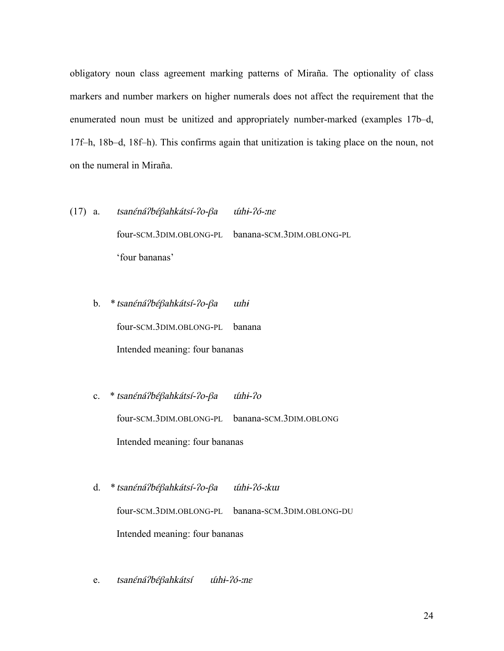obligatory noun class agreement marking patterns of Miraña. The optionality of class markers and number markers on higher numerals does not affect the requirement that the enumerated noun must be unitized and appropriately number-marked (examples 17b–d, 17f–h, 18b–d, 18f–h). This confirms again that unitization is taking place on the noun, not on the numeral in Miraña.

- (17) a. tsanɛ́náʔbɛ́βahkátsí-ʔo-β<sup>a</sup> ɯ́hɨ-ʔó-ːn<sup>ɛ</sup> four-SCM.3DIM.OBLONG-PL banana-SCM.3DIM.OBLONG-PL 'four bananas'
	- b. \*tsanɛ́náʔbɛ́βahkátsí-ʔo-β<sup>a</sup> <sup>ɯ</sup>h<sup>ɨ</sup> four-SCM.3DIM.OBLONG-PL banana Intended meaning: four bananas
	- c. \* tsanéná?béβahkátsí-?o-βa úthi-?o four-SCM.3DIM.OBLONG-PL banana-SCM.3DIM.OBLONG Intended meaning: four bananas
	- d. \*tsanɛ́náʔbɛ́βahkátsí-ʔo-β<sup>a</sup> ɯ́hɨ-ʔó-ːk<sup>ɯ</sup> four-SCM.3DIM.OBLONG-PL banana-SCM.3DIM.OBLONG-DU Intended meaning: four bananas
	- e. tsanéná?béβahkátsí úthi-?ó-:nε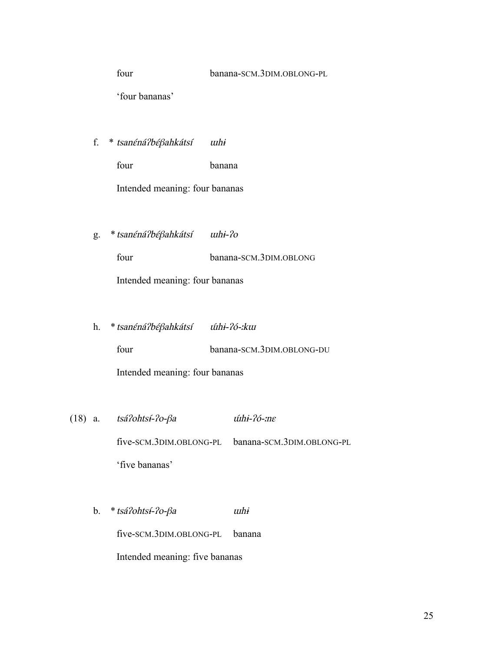four banana-SCM.3DIM.OBLONG-PL

'four bananas'

f. \* tsanɛ́náʔbɛ́βahkátsí <sup>ɯ</sup>h<sup>ɨ</sup>

four banana Intended meaning: four bananas

g. \*tsanɛ́náʔbɛ́βahkátsí <sup>ɯ</sup>hɨ-ʔ<sup>o</sup>

four banana-SCM.3DIM.OBLONG Intended meaning: four bananas

h. *\* tsanéná?béβahkátsí úthi-?ó-:kur* 

four banana-SCM.3DIM.OBLONG-DU

Intended meaning: four bananas

- (18) a. tsáʔohts<sup>ɨ</sup> ́-ʔo-β<sup>a</sup> ɯ́hɨ-ʔó-ːn<sup>ɛ</sup> five-SCM.3DIM.OBLONG-PL banana-SCM.3DIM.OBLONG-PL 'five bananas'
	- b. \*tsáʔohts<sup>ɨ</sup> ́-ʔo-β<sup>a</sup> <sup>ɯ</sup>h<sup>ɨ</sup> five-SCM.3DIM.OBLONG-PL banana Intended meaning: five bananas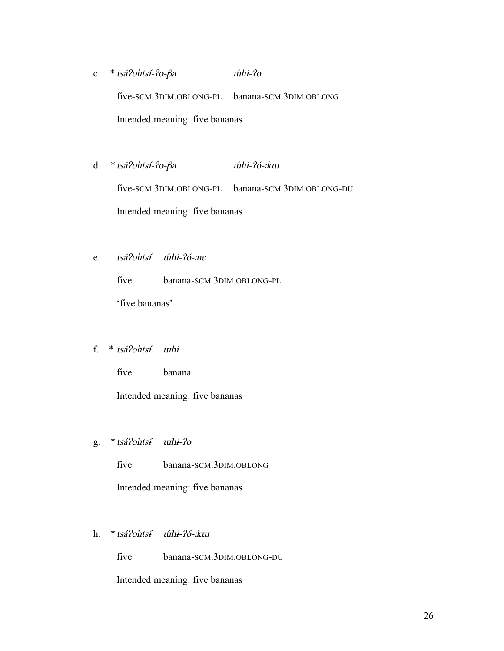- c. \* tsá?ohtsí-?o-βa *úthi-?o* five-SCM.3DIM.OBLONG-PL banana-SCM.3DIM.OBLONG Intended meaning: five bananas
- d. \*tsáʔohts<sup>ɨ</sup> ́-ʔo-β<sup>a</sup> ɯ́hɨ-ʔó-ːk<sup>ɯ</sup> five-SCM.3DIM.OBLONG-PL banana-SCM.3DIM.OBLONG-DU Intended meaning: five bananas
- e. tsá?ohtsí úthi-?ó-:ne

five banana-SCM.3DIM.OBLONG-PL

'five bananas'

#### f. \* tsáʔohts<sup>ɨ</sup> ́ <sup>ɯ</sup>h<sup>ɨ</sup>

five banana

Intended meaning: five bananas

g. \*tsáʔohts<sup>ɨ</sup> ́ <sup>ɯ</sup>hɨ-ʔ<sup>o</sup>

five banana-SCM.3DIM.OBLONG

Intended meaning: five bananas

h. *\* tsá?ohtsí úthi-?ó-ːkui* 

five banana-SCM.3DIM.OBLONG-DU

Intended meaning: five bananas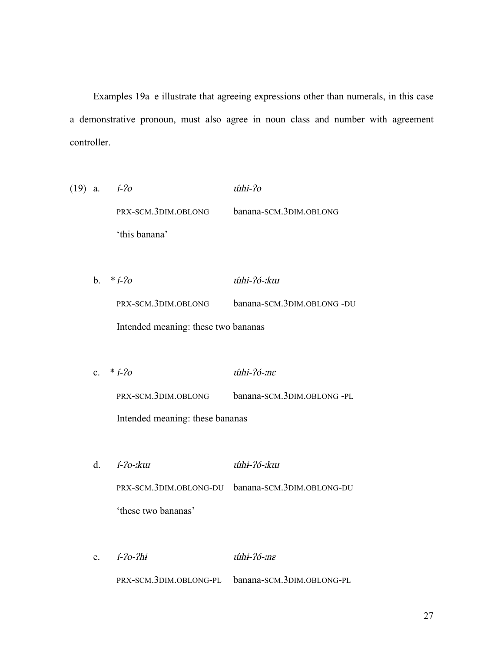Examples 19a–e illustrate that agreeing expressions other than numerals, in this case a demonstrative pronoun, must also agree in noun class and number with agreement controller.

- (19) a.  $i-2\sigma$   $$ PRX-SCM.3DIM.OBLONG banana-SCM.3DIM.OBLONG 'this banana'
	- b. \*í-ʔ<sup>o</sup> ɯ́hɨ-ʔó-ːk<sup>ɯ</sup> PRX-SCM.3DIM.OBLONG banana-SCM.3DIM.OBLONG -DU Intended meaning: these two bananas
	- c.  $*$  *i*-*?o*  $\angle$  *i*(*hi*-*?o-:ne* PRX-SCM.3DIM.OBLONG banana-SCM.3DIM.OBLONG -PL Intended meaning: these bananas
	- d. í-ʔo-ːk<sup>ɯ</sup> ɯ́hɨ-ʔó-ːk<sup>ɯ</sup> PRX-SCM.3DIM.OBLONG-DU banana-SCM.3DIM.OBLONG-DU 'these two bananas'
	- e. í-ʔo-ʔh<sup>ɨ</sup> ɯ́hɨ-ʔó-ːn<sup>ɛ</sup> PRX-SCM.3DIM.OBLONG-PL banana-SCM.3DIM.OBLONG-PL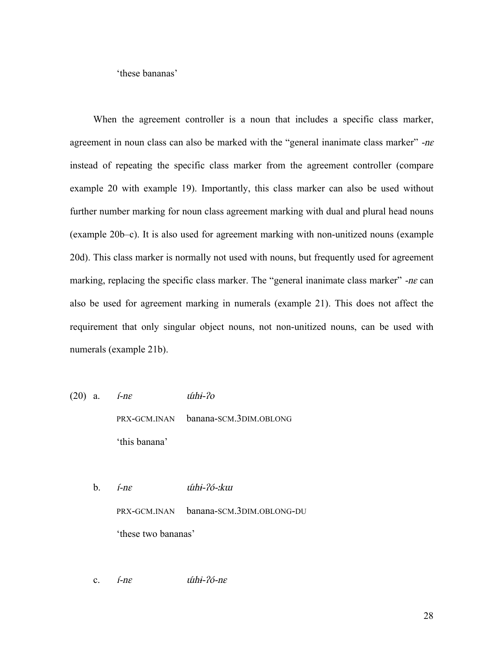'these bananas'

When the agreement controller is a noun that includes a specific class marker, agreement in noun class can also be marked with the "general inanimate class marker"  $-ne$ instead of repeating the specific class marker from the agreement controller (compare example 20 with example 19). Importantly, this class marker can also be used without further number marking for noun class agreement marking with dual and plural head nouns (example 20b–c). It is also used for agreement marking with non-unitized nouns (example 20d). This class marker is normally not used with nouns, but frequently used for agreement marking, replacing the specific class marker. The "general inanimate class marker"  $-ne$  can also be used for agreement marking in numerals (example 21). This does not affect the requirement that only singular object nouns, not non-unitized nouns, can be used with numerals (example 21b).

(20) a.  $\textit{i-n}\varepsilon$   $\textit{tithi-}2\textit{o}$ 

PRX-GCM.INAN banana-SCM.3DIM.OBLONG 'this banana'

- b. *í-ne úthi-?ó-ːkuɪ* PRX-GCM.INAN banana-SCM.3DIM.OBLONG-DU 'these two bananas'
- c.  $i$ -n $\varepsilon$  *-n* $\varepsilon$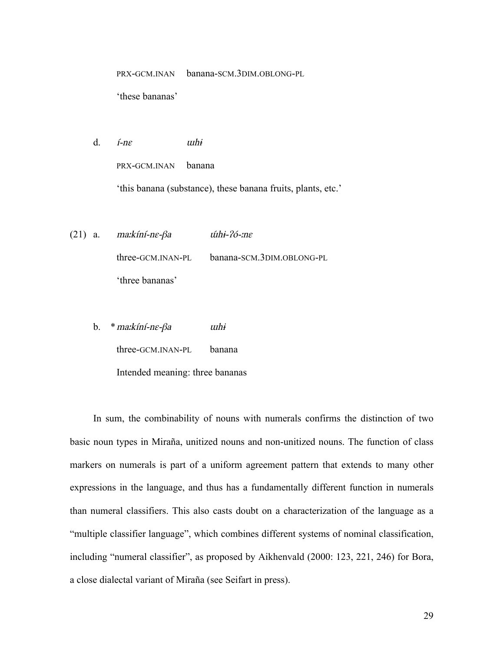PRX-GCM.INAN banana-SCM.3DIM.OBLONG-PL

'these bananas'

d.  $i$ -n $\varepsilon$   $\omega$   $\omega$ hi

PRX-GCM.INAN banana

'this banana (substance), these banana fruits, plants, etc.'

- (21) a. ma: $k$ íní-ne- $\beta$ a *ú*thi- $\gamma$ ó-:ne three-GCM.INAN-PL banana-SCM.3DIM.OBLONG-PL 'three bananas'
	- b. \*maːkíní-n<sup>ɛ</sup>-β<sup>a</sup> <sup>ɯ</sup>h<sup>ɨ</sup>

three-GCM.INAN-PL banana

Intended meaning: three bananas

In sum, the combinability of nouns with numerals confirms the distinction of two basic noun types in Miraña, unitized nouns and non-unitized nouns. The function of class markers on numerals is part of a uniform agreement pattern that extends to many other expressions in the language, and thus has a fundamentally different function in numerals than numeral classifiers. This also casts doubt on a characterization of the language as a "multiple classifier language", which combines different systems of nominal classification, including "numeral classifier", as proposed by Aikhenvald (2000: 123, 221, 246) for Bora, a close dialectal variant of Miraña (see Seifart in press).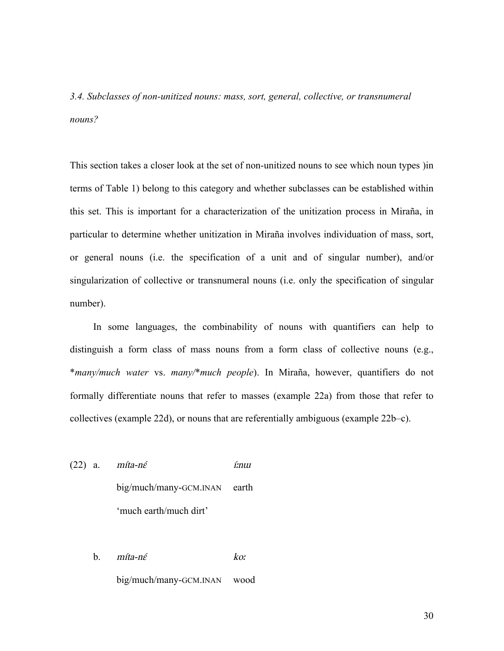*3.4. Subclasses of non-unitized nouns: mass, sort, general, collective, or transnumeral nouns?*

This section takes a closer look at the set of non-unitized nouns to see which noun types )in terms of Table 1) belong to this category and whether subclasses can be established within this set. This is important for a characterization of the unitization process in Miraña, in particular to determine whether unitization in Miraña involves individuation of mass, sort, or general nouns (i.e. the specification of a unit and of singular number), and/or singularization of collective or transnumeral nouns (i.e. only the specification of singular number).

In some languages, the combinability of nouns with quantifiers can help to distinguish a form class of mass nouns from a form class of collective nouns (e.g., \**many/much water* vs. *many/*\**much people*). In Miraña, however, quantifiers do not formally differentiate nouns that refer to masses (example 22a) from those that refer to collectives (example 22d), or nouns that are referentially ambiguous (example 22b–c).

 $(22)$  a. míta-n $\acute{\epsilon}$  í:nu big/much/many-GCM.INAN earth 'much earth/much dirt'

> b.  $m$ íta-né koː big/much/many-GCM.INAN wood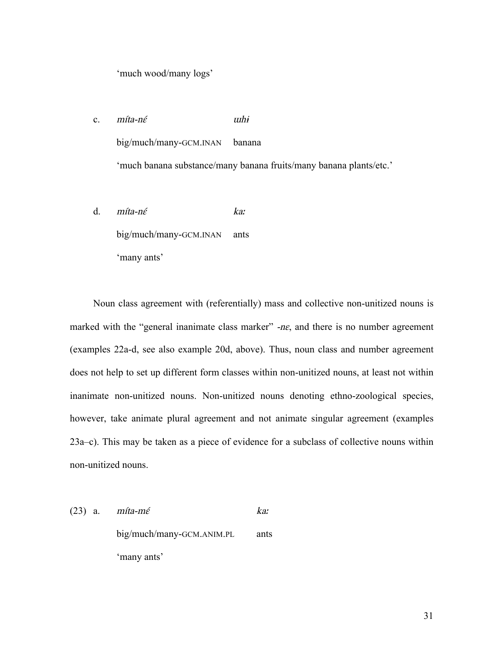'much wood/many logs'

c. míta-né *uthi* big/much/many-GCM.INAN banana 'much banana substance/many banana fruits/many banana plants/etc.'

d. míta-nɛ́ ka<sup>ː</sup> big/much/many-GCM.INAN ants 'many ants'

Noun class agreement with (referentially) mass and collective non-unitized nouns is marked with the "general inanimate class marker"  $-ne$ , and there is no number agreement (examples 22a-d, see also example 20d, above). Thus, noun class and number agreement does not help to set up different form classes within non-unitized nouns, at least not within inanimate non-unitized nouns. Non-unitized nouns denoting ethno-zoological species, however, take animate plural agreement and not animate singular agreement (examples 23a–c). This may be taken as a piece of evidence for a subclass of collective nouns within non-unitized nouns.

(23) a.  $m$ íta-mé ka: big/much/many-GCM.ANIM.PL ants 'many ants'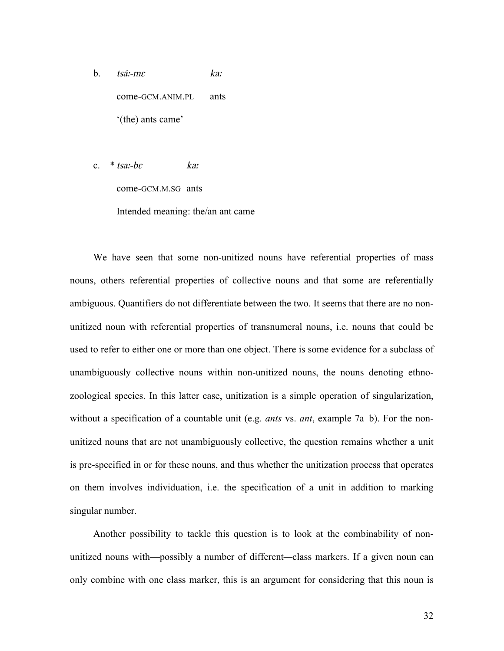b. tsáː-m<sup>ɛ</sup> ka<sup>ː</sup> come-GCM.ANIM.PL ants '(the) ants came'

c.  $*$  tsa:-be ka:

come-GCM.M.SG ants

Intended meaning: the/an ant came

We have seen that some non-unitized nouns have referential properties of mass nouns, others referential properties of collective nouns and that some are referentially ambiguous. Quantifiers do not differentiate between the two. It seems that there are no nonunitized noun with referential properties of transnumeral nouns, i.e. nouns that could be used to refer to either one or more than one object. There is some evidence for a subclass of unambiguously collective nouns within non-unitized nouns, the nouns denoting ethnozoological species. In this latter case, unitization is a simple operation of singularization, without a specification of a countable unit (e.g. *ants* vs. *ant*, example 7a–b). For the nonunitized nouns that are not unambiguously collective, the question remains whether a unit is pre-specified in or for these nouns, and thus whether the unitization process that operates on them involves individuation, i.e. the specification of a unit in addition to marking singular number.

Another possibility to tackle this question is to look at the combinability of nonunitized nouns with—possibly a number of different*—*class markers. If a given noun can only combine with one class marker, this is an argument for considering that this noun is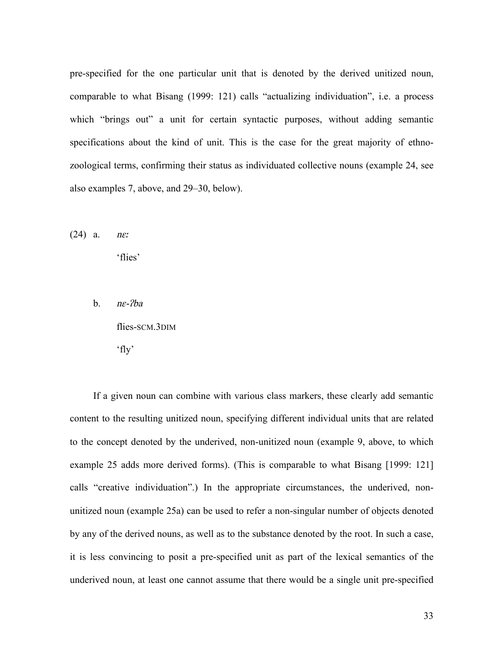pre-specified for the one particular unit that is denoted by the derived unitized noun, comparable to what Bisang (1999: 121) calls "actualizing individuation", i.e. a process which "brings out" a unit for certain syntactic purposes, without adding semantic specifications about the kind of unit. This is the case for the great majority of ethnozoological terms, confirming their status as individuated collective nouns (example 24, see also examples 7, above, and 29–30, below).

 $(24)$  a. *nex* 

'flies'

b.  $n\epsilon$ - $2ba$ 

flies-SCM.3DIM

'fly'

If a given noun can combine with various class markers, these clearly add semantic content to the resulting unitized noun, specifying different individual units that are related to the concept denoted by the underived, non-unitized noun (example 9, above, to which example 25 adds more derived forms). (This is comparable to what Bisang [1999: 121] calls "creative individuation".) In the appropriate circumstances, the underived, nonunitized noun (example 25a) can be used to refer a non-singular number of objects denoted by any of the derived nouns, as well as to the substance denoted by the root. In such a case, it is less convincing to posit a pre-specified unit as part of the lexical semantics of the underived noun, at least one cannot assume that there would be a single unit pre-specified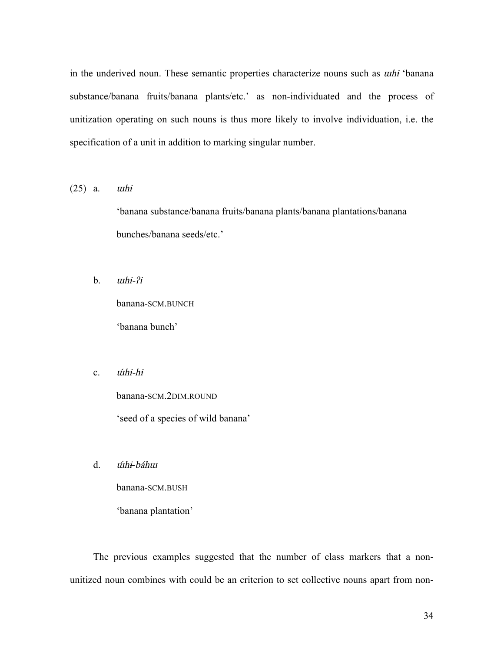in the underived noun. These semantic properties characterize nouns such as ɯh<sup>ɨ</sup> 'banana substance/banana fruits/banana plants/etc.' as non-individuated and the process of unitization operating on such nouns is thus more likely to involve individuation, i.e. the specification of a unit in addition to marking singular number.

 $(25)$  a.  $$ 

'banana substance/banana fruits/banana plants/banana plantations/banana bunches/banana seeds/etc.'

 $b.$   $$ 

banana-SCM.BUNCH 'banana bunch'

c. *úthi-hi* 

banana-SCM.2DIM.ROUND

'seed of a species of wild banana'

d. ɯ́hɨ-báh<sup>ɯ</sup>

banana-SCM.BUSH

'banana plantation'

The previous examples suggested that the number of class markers that a nonunitized noun combines with could be an criterion to set collective nouns apart from non-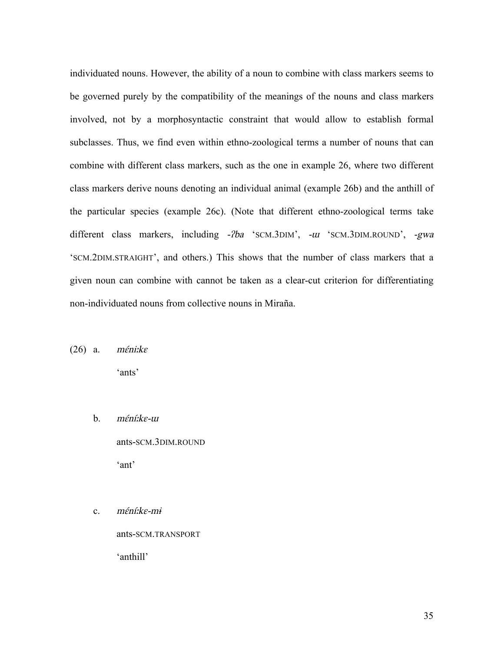individuated nouns. However, the ability of a noun to combine with class markers seems to be governed purely by the compatibility of the meanings of the nouns and class markers involved, not by a morphosyntactic constraint that would allow to establish formal subclasses. Thus, we find even within ethno-zoological terms a number of nouns that can combine with different class markers, such as the one in example 26, where two different class markers derive nouns denoting an individual animal (example 26b) and the anthill of the particular species (example 26c). (Note that different ethno-zoological terms take different class markers, including -*?ba* 'SCM.3DIM', -*u* 'SCM.3DIM.ROUND', -*gwa* 'SCM.2DIM.STRAIGHT', and others.) This shows that the number of class markers that a given noun can combine with cannot be taken as a clear-cut criterion for differentiating non-individuated nouns from collective nouns in Miraña.

 $(26)$  a. *méni:ke* 

'ants'

- b. <sup>m</sup>ɛ́níːk<sup>ɛ</sup>-<sup>ɯ</sup> ants-SCM.3DIM.ROUND 'ant'
- c. <sup>m</sup>ɛ́níːkɛ-m<sup>ɨ</sup>

ants-SCM.TRANSPORT 'anthill'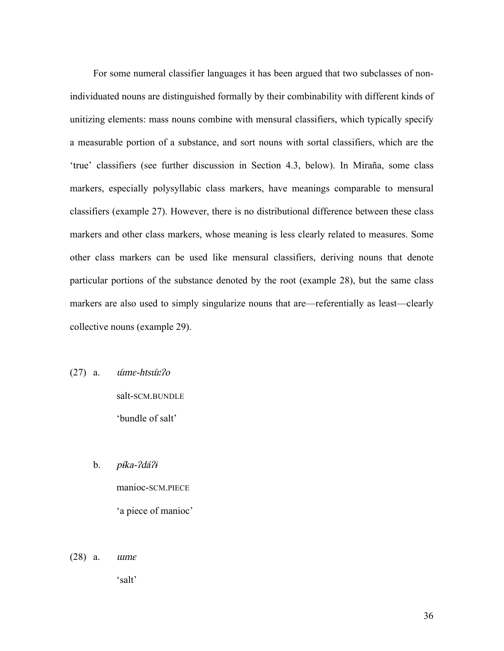For some numeral classifier languages it has been argued that two subclasses of nonindividuated nouns are distinguished formally by their combinability with different kinds of unitizing elements: mass nouns combine with mensural classifiers, which typically specify a measurable portion of a substance, and sort nouns with sortal classifiers, which are the 'true' classifiers (see further discussion in Section 4.3, below). In Miraña, some class markers, especially polysyllabic class markers, have meanings comparable to mensural classifiers (example 27). However, there is no distributional difference between these class markers and other class markers, whose meaning is less clearly related to measures. Some other class markers can be used like mensural classifiers, deriving nouns that denote particular portions of the substance denoted by the root (example 28), but the same class markers are also used to simply singularize nouns that are—referentially as least—clearly collective nouns (example 29).

- $(27)$  a. *úme-htsúr:?o* salt-SCM.BUNDLE 'bundle of salt'
	- b.  $p$ *ika-?dá?i* manioc-SCM.PIECE 'a piece of manioc'
- (28) a. <sup>ɯ</sup>m<sup>ɛ</sup>

'salt'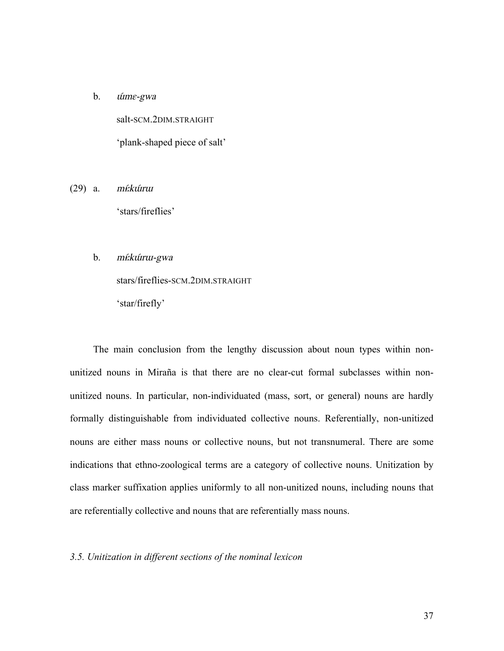b. *úme-gwa* salt-SCM 2DIM STRAIGHT 'plank-shaped piece of salt'

- $(29)$  a. *mi:kúrrur* 'stars/fireflies'
	- b. mŕ:kúru-gwa

stars/fireflies-SCM.2DIM.STRAIGHT

'star/firefly'

The main conclusion from the lengthy discussion about noun types within nonunitized nouns in Miraña is that there are no clear-cut formal subclasses within nonunitized nouns. In particular, non-individuated (mass, sort, or general) nouns are hardly formally distinguishable from individuated collective nouns. Referentially, non-unitized nouns are either mass nouns or collective nouns, but not transnumeral. There are some indications that ethno-zoological terms are a category of collective nouns. Unitization by class marker suffixation applies uniformly to all non-unitized nouns, including nouns that are referentially collective and nouns that are referentially mass nouns.

#### *3.5. Unitization in different sections of the nominal lexicon*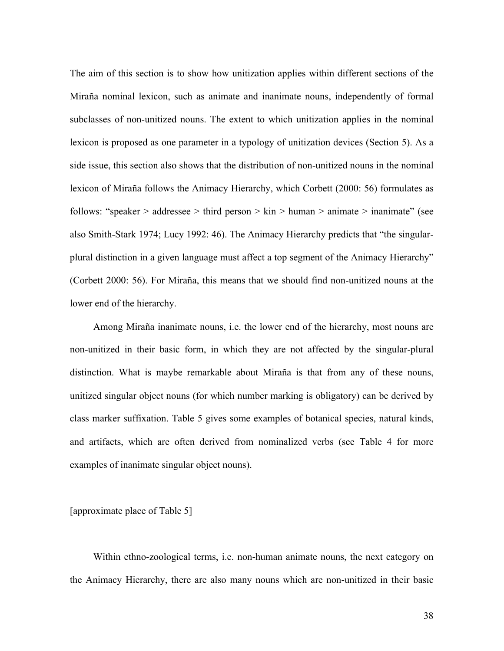The aim of this section is to show how unitization applies within different sections of the Miraña nominal lexicon, such as animate and inanimate nouns, independently of formal subclasses of non-unitized nouns. The extent to which unitization applies in the nominal lexicon is proposed as one parameter in a typology of unitization devices (Section 5). As a side issue, this section also shows that the distribution of non-unitized nouns in the nominal lexicon of Miraña follows the Animacy Hierarchy, which Corbett (2000: 56) formulates as follows: "speaker > addressee > third person > kin > human > animate > inanimate" (see also Smith-Stark 1974; Lucy 1992: 46). The Animacy Hierarchy predicts that "the singularplural distinction in a given language must affect a top segment of the Animacy Hierarchy" (Corbett 2000: 56). For Miraña, this means that we should find non-unitized nouns at the lower end of the hierarchy.

Among Miraña inanimate nouns, i.e. the lower end of the hierarchy, most nouns are non-unitized in their basic form, in which they are not affected by the singular-plural distinction. What is maybe remarkable about Miraña is that from any of these nouns, unitized singular object nouns (for which number marking is obligatory) can be derived by class marker suffixation. Table 5 gives some examples of botanical species, natural kinds, and artifacts, which are often derived from nominalized verbs (see Table 4 for more examples of inanimate singular object nouns).

#### [approximate place of Table 5]

Within ethno-zoological terms, i.e. non-human animate nouns, the next category on the Animacy Hierarchy, there are also many nouns which are non-unitized in their basic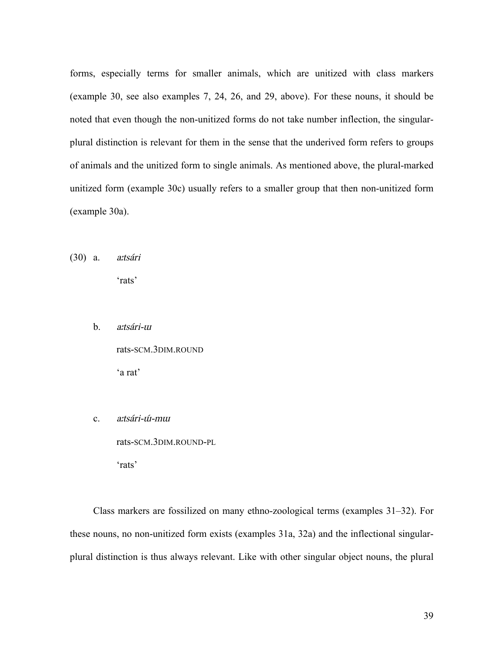forms, especially terms for smaller animals, which are unitized with class markers (example 30, see also examples 7, 24, 26, and 29, above). For these nouns, it should be noted that even though the non-unitized forms do not take number inflection, the singularplural distinction is relevant for them in the sense that the underived form refers to groups of animals and the unitized form to single animals. As mentioned above, the plural-marked unitized form (example 30c) usually refers to a smaller group that then non-unitized form (example 30a).

(30) a. <sup>a</sup>ːtsári

'rats'

b. <sup>a</sup>ːtsári-<sup>ɯ</sup>

rats-SCM.3DIM.ROUND 'a rat'

c. <sup>a</sup>ːtsári-ɯ́-m<sup>ɯ</sup> rats-SCM.3DIM.ROUND-PL 'rats'

Class markers are fossilized on many ethno-zoological terms (examples 31–32). For these nouns, no non-unitized form exists (examples 31a, 32a) and the inflectional singularplural distinction is thus always relevant. Like with other singular object nouns, the plural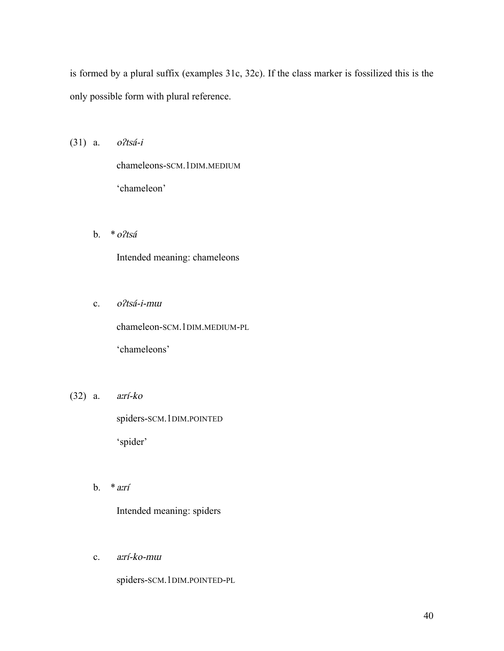is formed by a plural suffix (examples 31c, 32c). If the class marker is fossilized this is the only possible form with plural reference.

(31) a. <sup>o</sup>ʔtsá-i

chameleons-SCM.1DIM.MEDIUM 'chameleon'

b. \*oʔtsá

Intended meaning: chameleons

c. <sup>o</sup>ʔtsá-i-m<sup>ɯ</sup>

chameleon-SCM.1DIM.MEDIUM-PL

'chameleons'

(32) a. <sup>a</sup>ːrí-ko

spiders-SCM.1DIM.POINTED 'spider'

b.  $*$ *a*: $rf$ 

Intended meaning: spiders

c. <sup>a</sup>ːrí-ko-m<sup>ɯ</sup>

spiders-SCM.1DIM.POINTED-PL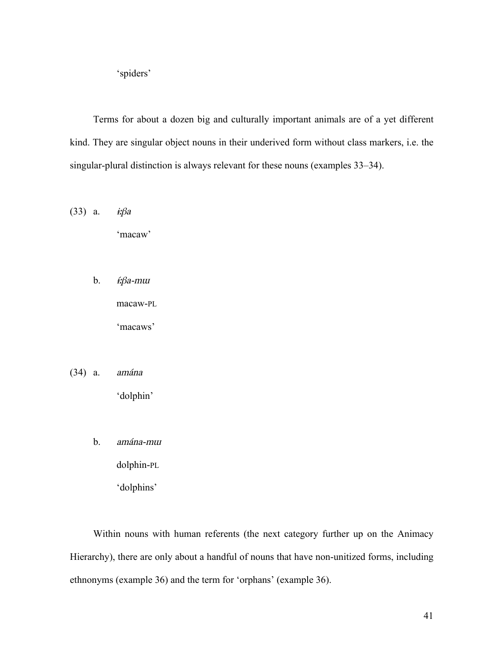'spiders'

Terms for about a dozen big and culturally important animals are of a yet different kind. They are singular object nouns in their underived form without class markers, i.e. the singular-plural distinction is always relevant for these nouns (examples 33–34).

(33) a.  $\dot{x}\beta a$ 

'macaw'

b. *<del>í</del>:βa-mw* 

macaw-PL

'macaws'

(34) a. amána

'dolphin'

b. amána-m<sup>ɯ</sup>

dolphin-PL

'dolphins'

Within nouns with human referents (the next category further up on the Animacy Hierarchy), there are only about a handful of nouns that have non-unitized forms, including ethnonyms (example 36) and the term for 'orphans' (example 36).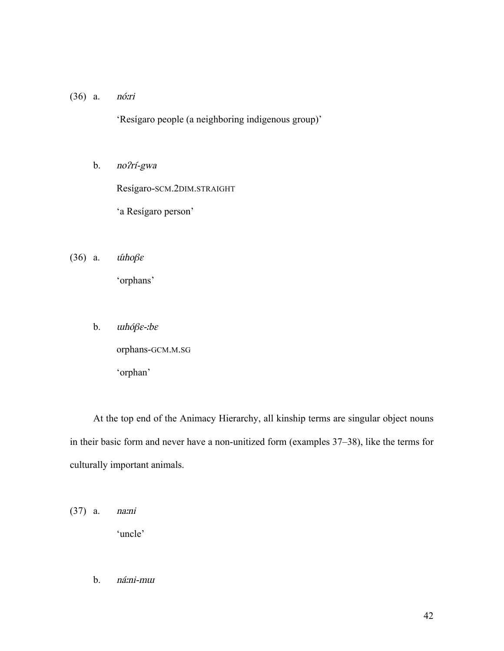(36) a. nóːri

'Resígaro people (a neighboring indigenous group)'

b. noʔrí-gwa

Resígaro-SCM.2DIM.STRAIGHT

'a Resígaro person'

(36) a.  $\hat{t}$   $\hat{t}$   $\hat{t}$ 

'orphans'

b. <sup>ɯ</sup>hóβɛ-<sup>ː</sup>b<sup>ɛ</sup>

orphans-GCM.M.SG

'orphan'

At the top end of the Animacy Hierarchy, all kinship terms are singular object nouns in their basic form and never have a non-unitized form (examples 37–38), like the terms for culturally important animals.

(37) a. naːni 'uncle'

b. náːni-m<sup>ɯ</sup>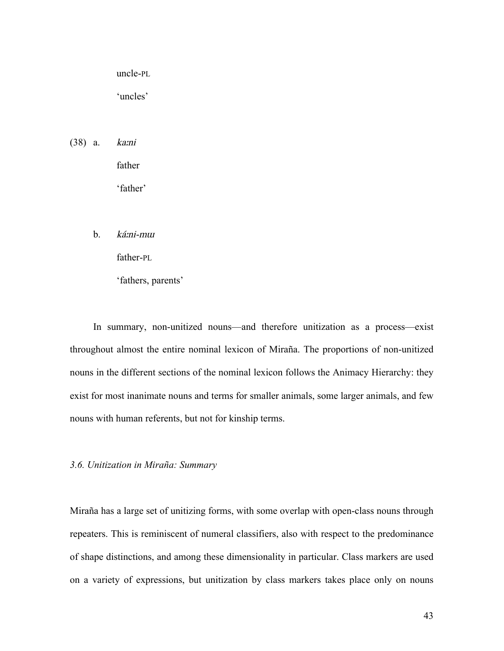uncle-PL

'uncles'

(38) a. kaːni

father

'father'

b. káːni-m<sup>ɯ</sup>

father-PL

'fathers, parents'

In summary, non-unitized nouns—and therefore unitization as a process—exist throughout almost the entire nominal lexicon of Miraña. The proportions of non-unitized nouns in the different sections of the nominal lexicon follows the Animacy Hierarchy: they exist for most inanimate nouns and terms for smaller animals, some larger animals, and few nouns with human referents, but not for kinship terms.

*3.6. Unitization in Miraña: Summary*

Miraña has a large set of unitizing forms, with some overlap with open-class nouns through repeaters. This is reminiscent of numeral classifiers, also with respect to the predominance of shape distinctions, and among these dimensionality in particular. Class markers are used on a variety of expressions, but unitization by class markers takes place only on nouns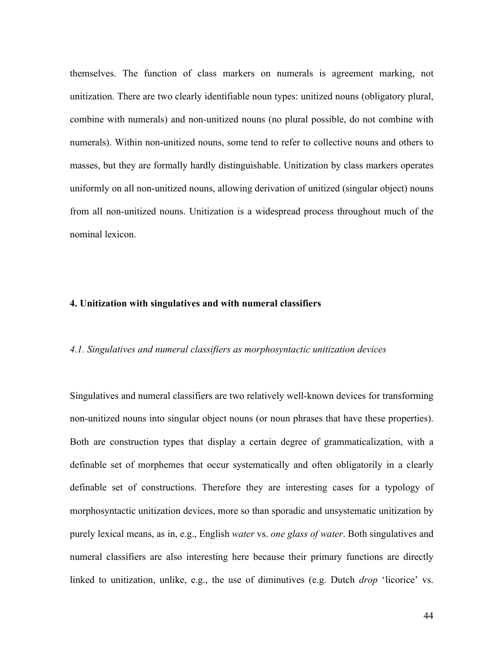themselves. The function of class markers on numerals is agreement marking, not unitization. There are two clearly identifiable noun types: unitized nouns (obligatory plural, combine with numerals) and non-unitized nouns (no plural possible, do not combine with numerals). Within non-unitized nouns, some tend to refer to collective nouns and others to masses, but they are formally hardly distinguishable. Unitization by class markers operates uniformly on all non-unitized nouns, allowing derivation of unitized (singular object) nouns from all non-unitized nouns. Unitization is a widespread process throughout much of the nominal lexicon.

#### **4. Unitization with singulatives and with numeral classifiers**

#### *4.1. Singulatives and numeral classifiers as morphosyntactic unitization devices*

Singulatives and numeral classifiers are two relatively well-known devices for transforming non-unitized nouns into singular object nouns (or noun phrases that have these properties). Both are construction types that display a certain degree of grammaticalization, with a definable set of morphemes that occur systematically and often obligatorily in a clearly definable set of constructions. Therefore they are interesting cases for a typology of morphosyntactic unitization devices, more so than sporadic and unsystematic unitization by purely lexical means, as in, e.g., English *water* vs. *one glass of water*. Both singulatives and numeral classifiers are also interesting here because their primary functions are directly linked to unitization, unlike, e.g., the use of diminutives (e.g. Dutch *drop* 'licorice' vs.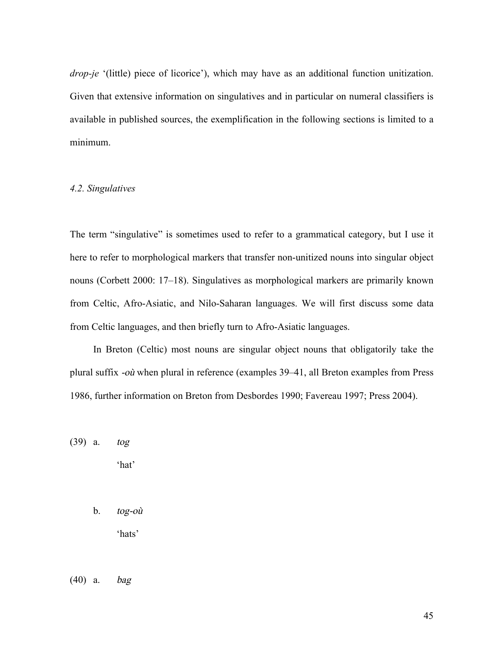*drop-je* '(little) piece of licorice'), which may have as an additional function unitization. Given that extensive information on singulatives and in particular on numeral classifiers is available in published sources, the exemplification in the following sections is limited to a minimum.

#### *4.2. Singulatives*

The term "singulative" is sometimes used to refer to a grammatical category, but I use it here to refer to morphological markers that transfer non-unitized nouns into singular object nouns (Corbett 2000: 17–18). Singulatives as morphological markers are primarily known from Celtic, Afro-Asiatic, and Nilo-Saharan languages. We will first discuss some data from Celtic languages, and then briefly turn to Afro-Asiatic languages.

In Breton (Celtic) most nouns are singular object nouns that obligatorily take the plural suffix -où when plural in reference (examples 39–41, all Breton examples from Press 1986, further information on Breton from Desbordes 1990; Favereau 1997; Press 2004).

(39) a. tog 'hat'

> b. tog-où 'hats'

(40) a. bag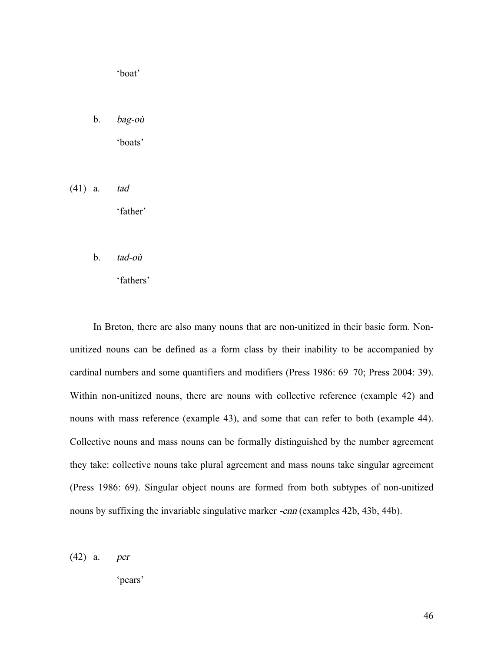'boat'

b. bag-où

'boats'

(41) a. tad

'father'

b. tad-où

'fathers'

In Breton, there are also many nouns that are non-unitized in their basic form. Nonunitized nouns can be defined as a form class by their inability to be accompanied by cardinal numbers and some quantifiers and modifiers (Press 1986: 69–70; Press 2004: 39). Within non-unitized nouns, there are nouns with collective reference (example 42) and nouns with mass reference (example 43), and some that can refer to both (example 44). Collective nouns and mass nouns can be formally distinguished by the number agreement they take: collective nouns take plural agreement and mass nouns take singular agreement (Press 1986: 69). Singular object nouns are formed from both subtypes of non-unitized nouns by suffixing the invariable singulative marker -enn (examples 42b, 43b, 44b).

(42) a. per

'pears'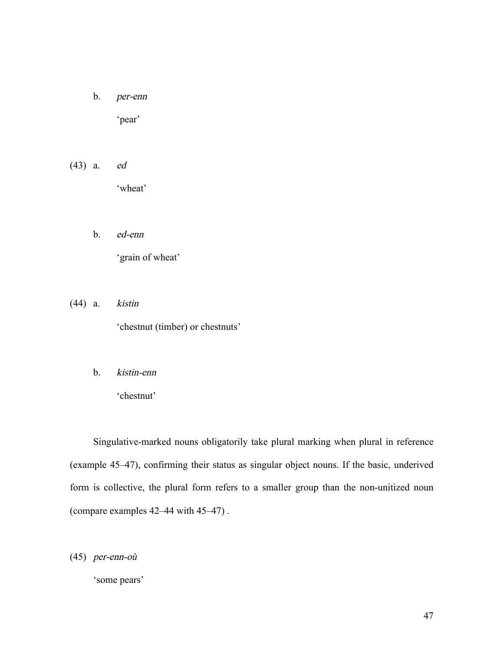b. per-enn

'pear'

- (43) a. ed 'wheat'
	- b. ed-enn 'grain of wheat'
- (44) a. kistin 'chestnut (timber) or chestnuts'
	- b. kistin-enn

'chestnut'

Singulative-marked nouns obligatorily take plural marking when plural in reference (example 45–47), confirming their status as singular object nouns. If the basic, underived form is collective, the plural form refers to a smaller group than the non-unitized noun (compare examples 42–44 with 45–47) .

(45) per-enn-où

'some pears'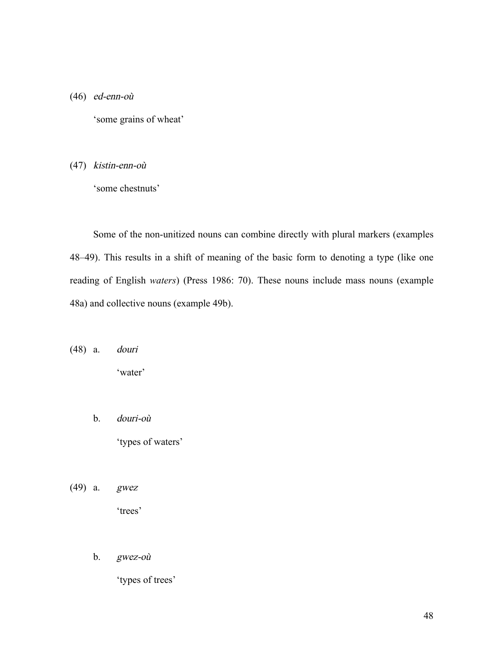(46) ed-enn-où

'some grains of wheat'

(47) kistin-enn-où

'some chestnuts'

Some of the non-unitized nouns can combine directly with plural markers (examples 48–49). This results in a shift of meaning of the basic form to denoting a type (like one reading of English *waters*) (Press 1986: 70). These nouns include mass nouns (example 48a) and collective nouns (example 49b).

(48) a. douri

'water'

b. douri-où

'types of waters'

- (49) a. gwez 'trees'
	- b. gwez-où

'types of trees'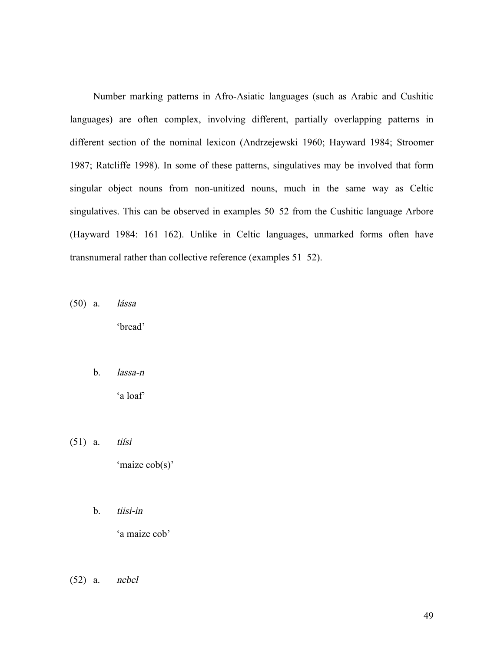Number marking patterns in Afro-Asiatic languages (such as Arabic and Cushitic languages) are often complex, involving different, partially overlapping patterns in different section of the nominal lexicon (Andrzejewski 1960; Hayward 1984; Stroomer 1987; Ratcliffe 1998). In some of these patterns, singulatives may be involved that form singular object nouns from non-unitized nouns, much in the same way as Celtic singulatives. This can be observed in examples 50–52 from the Cushitic language Arbore (Hayward 1984: 161–162). Unlike in Celtic languages, unmarked forms often have transnumeral rather than collective reference (examples 51–52).

(50) a. lássa

'bread'

b. lassa-n

'a loaf'

(51) a. tiísi

'maize cob(s)'

b. tiisi-in

'a maize cob'

(52) a. nebel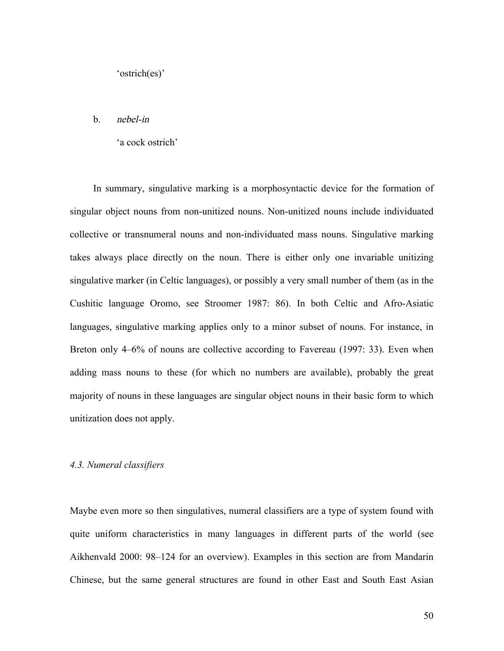#### b. nebel-in

#### 'a cock ostrich'

In summary, singulative marking is a morphosyntactic device for the formation of singular object nouns from non-unitized nouns. Non-unitized nouns include individuated collective or transnumeral nouns and non-individuated mass nouns. Singulative marking takes always place directly on the noun. There is either only one invariable unitizing singulative marker (in Celtic languages), or possibly a very small number of them (as in the Cushitic language Oromo, see Stroomer 1987: 86). In both Celtic and Afro-Asiatic languages, singulative marking applies only to a minor subset of nouns. For instance, in Breton only 4–6% of nouns are collective according to Favereau (1997: 33). Even when adding mass nouns to these (for which no numbers are available), probably the great majority of nouns in these languages are singular object nouns in their basic form to which unitization does not apply.

#### *4.3. Numeral classifiers*

Maybe even more so then singulatives, numeral classifiers are a type of system found with quite uniform characteristics in many languages in different parts of the world (see Aikhenvald 2000: 98–124 for an overview). Examples in this section are from Mandarin Chinese, but the same general structures are found in other East and South East Asian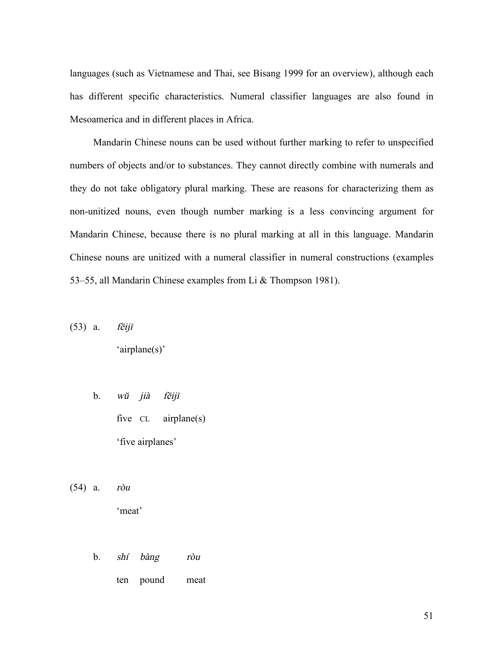languages (such as Vietnamese and Thai, see Bisang 1999 for an overview), although each has different specific characteristics. Numeral classifier languages are also found in Mesoamerica and in different places in Africa.

Mandarin Chinese nouns can be used without further marking to refer to unspecified numbers of objects and/or to substances. They cannot directly combine with numerals and they do not take obligatory plural marking. These are reasons for characterizing them as non-unitized nouns, even though number marking is a less convincing argument for Mandarin Chinese, because there is no plural marking at all in this language. Mandarin Chinese nouns are unitized with a numeral classifier in numeral constructions (examples 53–55, all Mandarin Chinese examples from Li & Thompson 1981).

(53) a. <sup>f</sup>ēij<sup>ī</sup>

'airplane(s)'

- b. <sup>w</sup><sup>ŭ</sup> jià <sup>f</sup>ēij<sup>ī</sup> five CL airplane(s) 'five airplanes'
- (54) a. ròu

'meat'

- b. shí bàng ròu
	- ten pound meat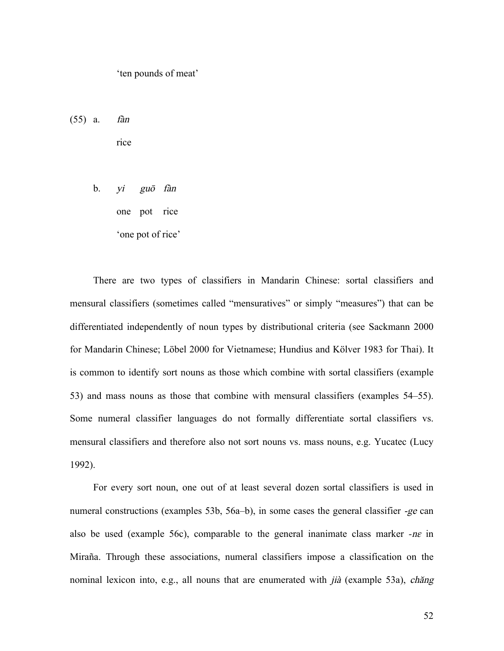'ten pounds of meat'

(55) a. fàn

rice

b. yi gu<sup>ō</sup> fàn one pot rice 'one pot of rice'

There are two types of classifiers in Mandarin Chinese: sortal classifiers and mensural classifiers (sometimes called "mensuratives" or simply "measures") that can be differentiated independently of noun types by distributional criteria (see Sackmann 2000 for Mandarin Chinese; Löbel 2000 for Vietnamese; Hundius and Kölver 1983 for Thai). It is common to identify sort nouns as those which combine with sortal classifiers (example 53) and mass nouns as those that combine with mensural classifiers (examples 54–55). Some numeral classifier languages do not formally differentiate sortal classifiers vs. mensural classifiers and therefore also not sort nouns vs. mass nouns, e.g. Yucatec (Lucy 1992).

For every sort noun, one out of at least several dozen sortal classifiers is used in numeral constructions (examples 53b, 56a–b), in some cases the general classifier -ge can also be used (example 56c), comparable to the general inanimate class marker *-*n<sup>ɛ</sup> in Miraña. Through these associations, numeral classifiers impose a classification on the nominal lexicon into, e.g., all nouns that are enumerated with *jià* (example 53a), *ch*ăng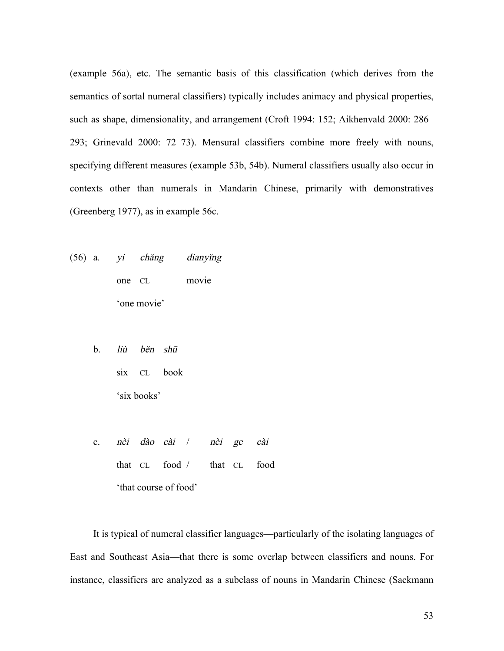(example 56a), etc. The semantic basis of this classification (which derives from the semantics of sortal numeral classifiers) typically includes animacy and physical properties, such as shape, dimensionality, and arrangement (Croft 1994: 152; Aikhenvald 2000: 286– 293; Grinevald 2000: 72–73). Mensural classifiers combine more freely with nouns, specifying different measures (example 53b, 54b). Numeral classifiers usually also occur in contexts other than numerals in Mandarin Chinese, primarily with demonstratives (Greenberg 1977), as in example 56c.

- (56) a*.* yi chăng dianyĭng one CL movie 'one movie'
	- b. liù bĕ<sup>n</sup> sh<sup>ū</sup> six CL book 'six books'
	- c. nèi dào cài / nèi ge cài that CL food / that CL food 'that course of food'

It is typical of numeral classifier languages—particularly of the isolating languages of East and Southeast Asia—that there is some overlap between classifiers and nouns. For instance, classifiers are analyzed as a subclass of nouns in Mandarin Chinese (Sackmann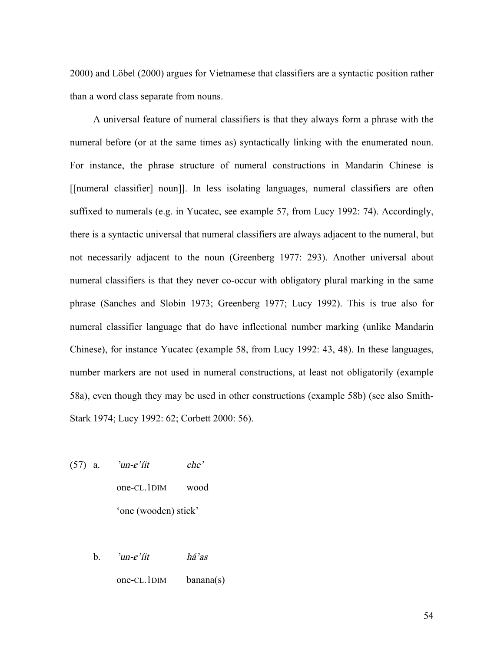2000) and Löbel (2000) argues for Vietnamese that classifiers are a syntactic position rather than a word class separate from nouns.

A universal feature of numeral classifiers is that they always form a phrase with the numeral before (or at the same times as) syntactically linking with the enumerated noun. For instance, the phrase structure of numeral constructions in Mandarin Chinese is [[numeral classifier] noun]]. In less isolating languages, numeral classifiers are often suffixed to numerals (e.g. in Yucatec, see example 57, from Lucy 1992: 74). Accordingly, there is a syntactic universal that numeral classifiers are always adjacent to the numeral, but not necessarily adjacent to the noun (Greenberg 1977: 293). Another universal about numeral classifiers is that they never co-occur with obligatory plural marking in the same phrase (Sanches and Slobin 1973; Greenberg 1977; Lucy 1992). This is true also for numeral classifier language that do have inflectional number marking (unlike Mandarin Chinese), for instance Yucatec (example 58, from Lucy 1992: 43, 48). In these languages, number markers are not used in numeral constructions, at least not obligatorily (example 58a), even though they may be used in other constructions (example 58b) (see also Smith-Stark 1974; Lucy 1992: 62; Corbett 2000: 56).

- $(57)$  a. 'un- $e'$ iit che' one-CL.1DIM wood 'one (wooden) stick'
	- b.  $'un-e'$ íit há'as one-CL.1DIM banana(s)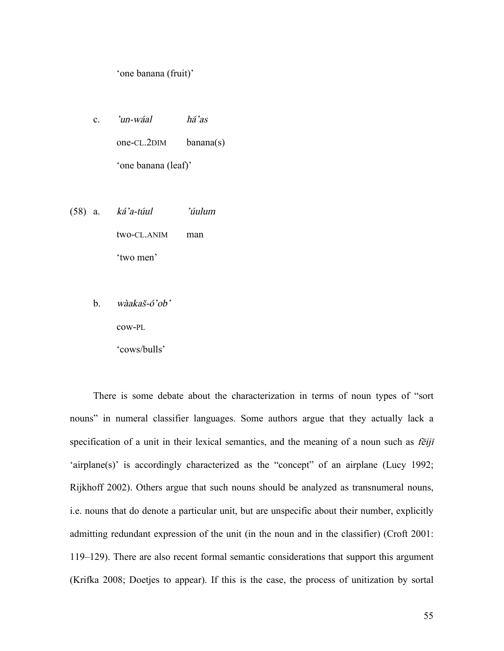'one banana (fruit)'

- c. 'un-wáal há'as one-CL.2DIM banana(s) 'one banana (leaf)'
- (58) a. ká'a-túul 'úulum two-CL.ANIM man 'two men'
	- b. wàakaš-ó'ob'

cow-PL

'cows/bulls'

There is some debate about the characterization in terms of noun types of "sort nouns" in numeral classifier languages. Some authors argue that they actually lack a specification of a unit in their lexical semantics, and the meaning of a noun such as *feiji* 'airplane(s)' is accordingly characterized as the "concept" of an airplane (Lucy 1992; Rijkhoff 2002). Others argue that such nouns should be analyzed as transnumeral nouns, i.e. nouns that do denote a particular unit, but are unspecific about their number, explicitly admitting redundant expression of the unit (in the noun and in the classifier) (Croft 2001: 119–129). There are also recent formal semantic considerations that support this argument (Krifka 2008; Doetjes to appear). If this is the case, the process of unitization by sortal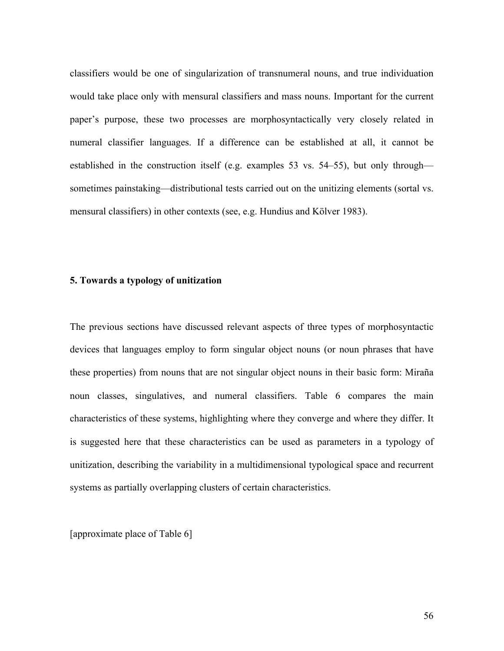classifiers would be one of singularization of transnumeral nouns, and true individuation would take place only with mensural classifiers and mass nouns. Important for the current paper's purpose, these two processes are morphosyntactically very closely related in numeral classifier languages. If a difference can be established at all, it cannot be established in the construction itself (e.g. examples 53 vs. 54–55), but only through sometimes painstaking—distributional tests carried out on the unitizing elements (sortal vs. mensural classifiers) in other contexts (see, e.g. Hundius and Kölver 1983).

#### **5. Towards a typology of unitization**

The previous sections have discussed relevant aspects of three types of morphosyntactic devices that languages employ to form singular object nouns (or noun phrases that have these properties) from nouns that are not singular object nouns in their basic form: Miraña noun classes, singulatives, and numeral classifiers. Table 6 compares the main characteristics of these systems, highlighting where they converge and where they differ. It is suggested here that these characteristics can be used as parameters in a typology of unitization, describing the variability in a multidimensional typological space and recurrent systems as partially overlapping clusters of certain characteristics.

[approximate place of Table 6]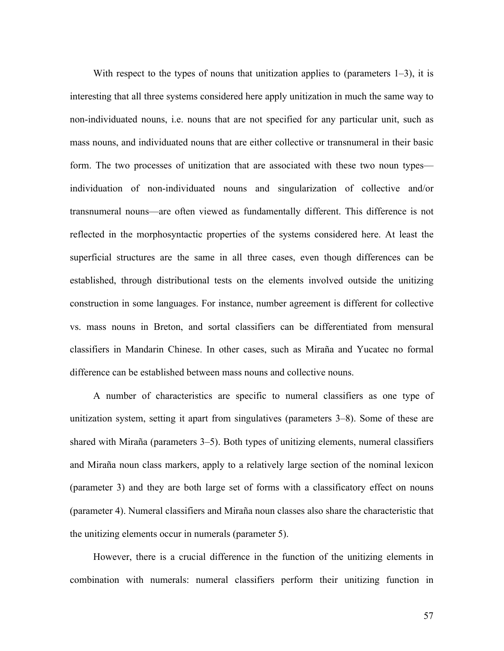With respect to the types of nouns that unitization applies to (parameters  $1-3$ ), it is interesting that all three systems considered here apply unitization in much the same way to non-individuated nouns, i.e. nouns that are not specified for any particular unit, such as mass nouns, and individuated nouns that are either collective or transnumeral in their basic form. The two processes of unitization that are associated with these two noun types individuation of non-individuated nouns and singularization of collective and/or transnumeral nouns—are often viewed as fundamentally different. This difference is not reflected in the morphosyntactic properties of the systems considered here. At least the superficial structures are the same in all three cases, even though differences can be established, through distributional tests on the elements involved outside the unitizing construction in some languages. For instance, number agreement is different for collective vs. mass nouns in Breton, and sortal classifiers can be differentiated from mensural classifiers in Mandarin Chinese. In other cases, such as Miraña and Yucatec no formal difference can be established between mass nouns and collective nouns.

A number of characteristics are specific to numeral classifiers as one type of unitization system, setting it apart from singulatives (parameters 3–8). Some of these are shared with Miraña (parameters 3–5). Both types of unitizing elements, numeral classifiers and Miraña noun class markers, apply to a relatively large section of the nominal lexicon (parameter 3) and they are both large set of forms with a classificatory effect on nouns (parameter 4). Numeral classifiers and Miraña noun classes also share the characteristic that the unitizing elements occur in numerals (parameter 5).

However, there is a crucial difference in the function of the unitizing elements in combination with numerals: numeral classifiers perform their unitizing function in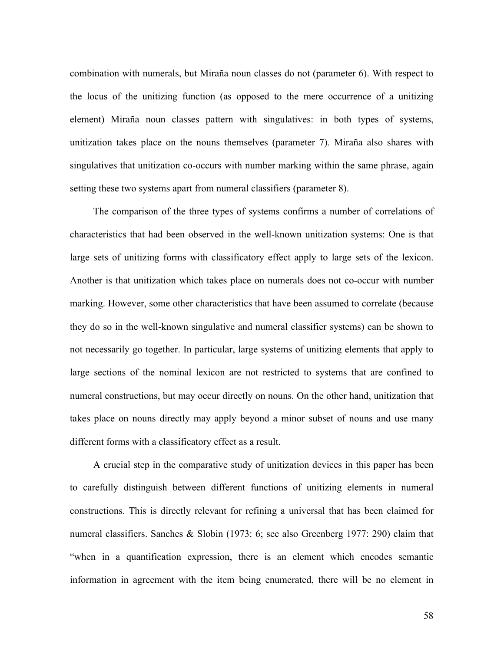combination with numerals, but Miraña noun classes do not (parameter 6). With respect to the locus of the unitizing function (as opposed to the mere occurrence of a unitizing element) Miraña noun classes pattern with singulatives: in both types of systems, unitization takes place on the nouns themselves (parameter 7). Miraña also shares with singulatives that unitization co-occurs with number marking within the same phrase, again setting these two systems apart from numeral classifiers (parameter 8).

The comparison of the three types of systems confirms a number of correlations of characteristics that had been observed in the well-known unitization systems: One is that large sets of unitizing forms with classificatory effect apply to large sets of the lexicon. Another is that unitization which takes place on numerals does not co-occur with number marking. However, some other characteristics that have been assumed to correlate (because they do so in the well-known singulative and numeral classifier systems) can be shown to not necessarily go together. In particular, large systems of unitizing elements that apply to large sections of the nominal lexicon are not restricted to systems that are confined to numeral constructions, but may occur directly on nouns. On the other hand, unitization that takes place on nouns directly may apply beyond a minor subset of nouns and use many different forms with a classificatory effect as a result.

A crucial step in the comparative study of unitization devices in this paper has been to carefully distinguish between different functions of unitizing elements in numeral constructions. This is directly relevant for refining a universal that has been claimed for numeral classifiers. Sanches & Slobin (1973: 6; see also Greenberg 1977: 290) claim that "when in a quantification expression, there is an element which encodes semantic information in agreement with the item being enumerated, there will be no element in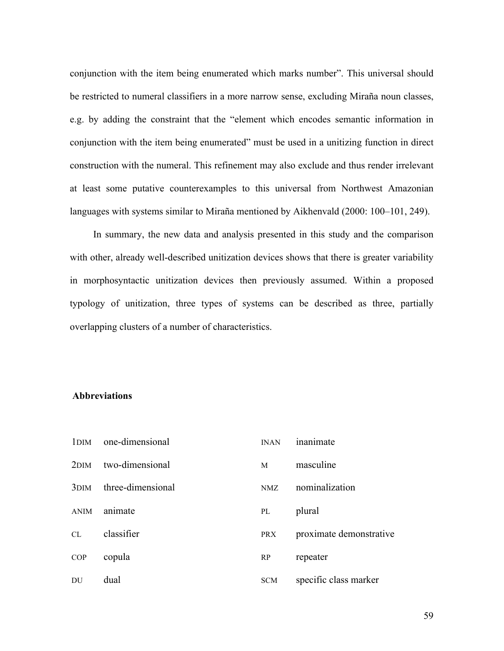conjunction with the item being enumerated which marks number". This universal should be restricted to numeral classifiers in a more narrow sense, excluding Miraña noun classes, e.g. by adding the constraint that the "element which encodes semantic information in conjunction with the item being enumerated" must be used in a unitizing function in direct construction with the numeral. This refinement may also exclude and thus render irrelevant at least some putative counterexamples to this universal from Northwest Amazonian languages with systems similar to Miraña mentioned by Aikhenvald (2000: 100–101, 249).

In summary, the new data and analysis presented in this study and the comparison with other, already well-described unitization devices shows that there is greater variability in morphosyntactic unitization devices then previously assumed. Within a proposed typology of unitization, three types of systems can be described as three, partially overlapping clusters of a number of characteristics.

#### **Abbreviations**

|                  | 1DIM one-dimensional | <b>INAN</b> | inanimate               |
|------------------|----------------------|-------------|-------------------------|
| 2 <sub>DIM</sub> | two-dimensional      | M           | masculine               |
| 3 <sub>DIM</sub> | three-dimensional    | NMZ         | nominalization          |
| <b>ANIM</b>      | animate              | PL          | plural                  |
| CL               | classifier           | <b>PRX</b>  | proximate demonstrative |
| <b>COP</b>       | copula               | RP          | repeater                |
| DU               | dual                 | <b>SCM</b>  | specific class marker   |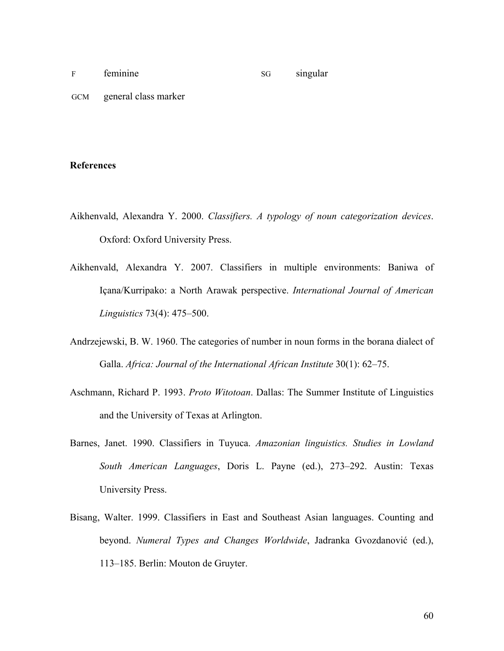## F feminine SG singular GCM general class marker

#### **References**

- Aikhenvald, Alexandra Y. 2000. *Classifiers. A typology of noun categorization devices*. Oxford: Oxford University Press.
- Aikhenvald, Alexandra Y. 2007. Classifiers in multiple environments: Baniwa of Içana/Kurripako: a North Arawak perspective. *International Journal of American Linguistics* 73(4): 475–500.
- Andrzejewski, B. W. 1960. The categories of number in noun forms in the borana dialect of Galla. *Africa: Journal of the International African Institute* 30(1): 62–75.
- Aschmann, Richard P. 1993. *Proto Witotoan*. Dallas: The Summer Institute of Linguistics and the University of Texas at Arlington.
- Barnes, Janet. 1990. Classifiers in Tuyuca. *Amazonian linguistics. Studies in Lowland South American Languages*, Doris L. Payne (ed.), 273–292. Austin: Texas University Press.
- Bisang, Walter. 1999. Classifiers in East and Southeast Asian languages. Counting and beyond. *Numeral Types and Changes Worldwide*, Jadranka Gvozdanović (ed.), 113–185. Berlin: Mouton de Gruyter.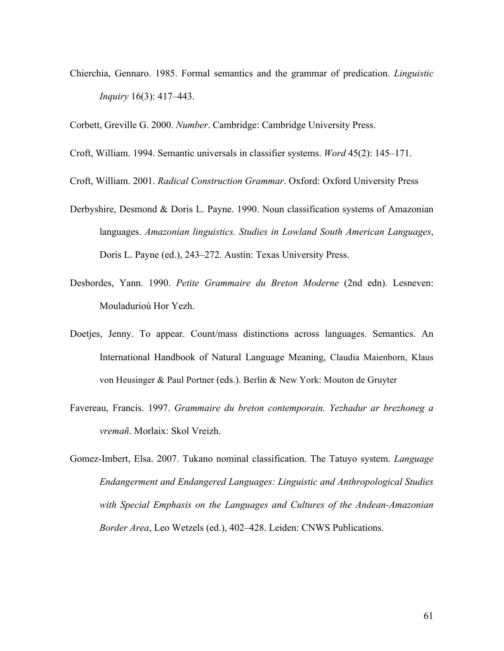Chierchia, Gennaro. 1985. Formal semantics and the grammar of predication. *Linguistic Inquiry* 16(3): 417–443.

Corbett, Greville G. 2000. *Number*. Cambridge: Cambridge University Press.

Croft, William. 1994. Semantic universals in classifier systems. *Word* 45(2): 145–171.

Croft, William. 2001. *Radical Construction Grammar*. Oxford: Oxford University Press

- Derbyshire, Desmond & Doris L. Payne. 1990. Noun classification systems of Amazonian languages. *Amazonian linguistics. Studies in Lowland South American Languages*, Doris L. Payne (ed.), 243–272. Austin: Texas University Press.
- Desbordes, Yann. 1990. *Petite Grammaire du Breton Moderne* (2nd edn)*.* Lesneven: Mouladurioù Hor Yezh.
- Doetjes, Jenny. To appear. Count/mass distinctions across languages. Semantics. An International Handbook of Natural Language Meaning, Claudia Maienborn, Klaus von Heusinger & Paul Portner (eds.). Berlin & New York: Mouton de Gruyter
- Favereau, Francis. 1997. *Grammaire du breton contemporain. Yezhadur ar brezhoneg a vremañ*. Morlaix: Skol Vreizh.
- Gomez-Imbert, Elsa. 2007. Tukano nominal classification. The Tatuyo system. *Language Endangerment and Endangered Languages: Linguistic and Anthropological Studies with Special Emphasis on the Languages and Cultures of the Andean-Amazonian Border Area*, Leo Wetzels (ed.), 402–428. Leiden: CNWS Publications.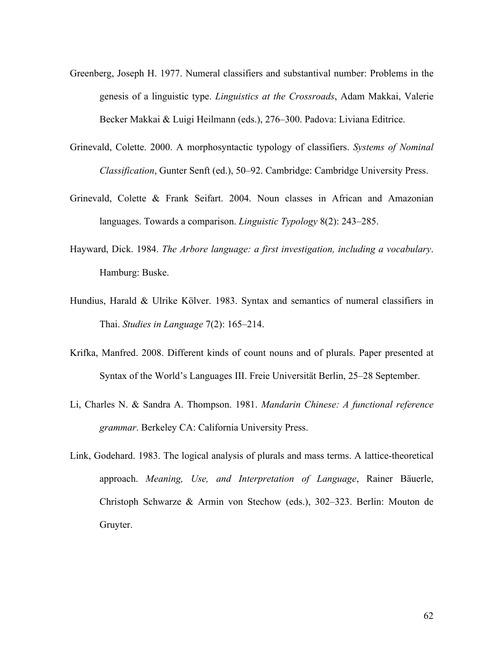- Greenberg, Joseph H. 1977. Numeral classifiers and substantival number: Problems in the genesis of a linguistic type. *Linguistics at the Crossroads*, Adam Makkai, Valerie Becker Makkai & Luigi Heilmann (eds.), 276–300. Padova: Liviana Editrice.
- Grinevald, Colette. 2000. A morphosyntactic typology of classifiers. *Systems of Nominal Classification*, Gunter Senft (ed.), 50–92. Cambridge: Cambridge University Press.
- Grinevald, Colette & Frank Seifart. 2004. Noun classes in African and Amazonian languages. Towards a comparison. *Linguistic Typology* 8(2): 243–285.
- Hayward, Dick. 1984. *The Arbore language: a first investigation, including a vocabulary*. Hamburg: Buske.
- Hundius, Harald & Ulrike Kölver. 1983. Syntax and semantics of numeral classifiers in Thai. *Studies in Language* 7(2): 165–214.
- Krifka, Manfred. 2008. Different kinds of count nouns and of plurals. Paper presented at Syntax of the World's Languages III. Freie Universität Berlin, 25–28 September.
- Li, Charles N. & Sandra A. Thompson. 1981. *Mandarin Chinese: A functional reference grammar*. Berkeley CA: California University Press.
- Link, Godehard. 1983. The logical analysis of plurals and mass terms. A lattice-theoretical approach. *Meaning, Use, and Interpretation of Language*, Rainer Bäuerle, Christoph Schwarze & Armin von Stechow (eds.), 302–323. Berlin: Mouton de Gruyter.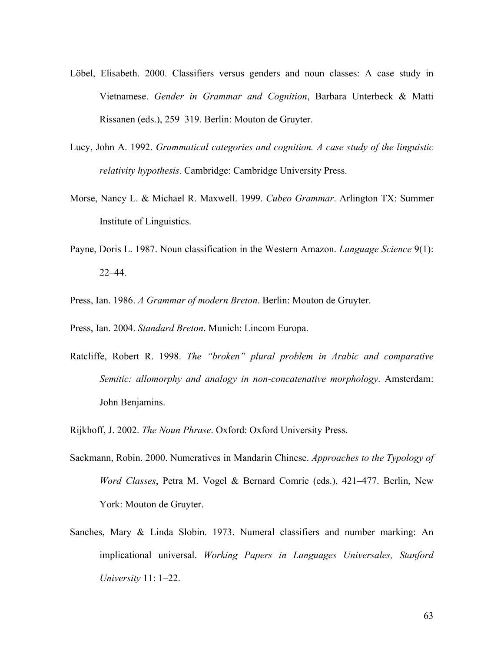- Löbel, Elisabeth. 2000. Classifiers versus genders and noun classes: A case study in Vietnamese. *Gender in Grammar and Cognition*, Barbara Unterbeck & Matti Rissanen (eds.), 259–319. Berlin: Mouton de Gruyter.
- Lucy, John A. 1992. *Grammatical categories and cognition. A case study of the linguistic relativity hypothesis*. Cambridge: Cambridge University Press.
- Morse, Nancy L. & Michael R. Maxwell. 1999. *Cubeo Grammar*. Arlington TX: Summer Institute of Linguistics.
- Payne, Doris L. 1987. Noun classification in the Western Amazon. *Language Science* 9(1): 22–44.
- Press, Ian. 1986. *A Grammar of modern Breton*. Berlin: Mouton de Gruyter.
- Press, Ian. 2004. *Standard Breton*. Munich: Lincom Europa.
- Ratcliffe, Robert R. 1998. *The "broken" plural problem in Arabic and comparative Semitic: allomorphy and analogy in non-concatenative morphology*. Amsterdam: John Benjamins.
- Rijkhoff, J. 2002. *The Noun Phrase*. Oxford: Oxford University Press.
- Sackmann, Robin. 2000. Numeratives in Mandarin Chinese. *Approaches to the Typology of Word Classes*, Petra M. Vogel & Bernard Comrie (eds.), 421–477. Berlin, New York: Mouton de Gruyter.
- Sanches, Mary & Linda Slobin. 1973. Numeral classifiers and number marking: An implicational universal. *Working Papers in Languages Universales, Stanford University* 11: 1–22.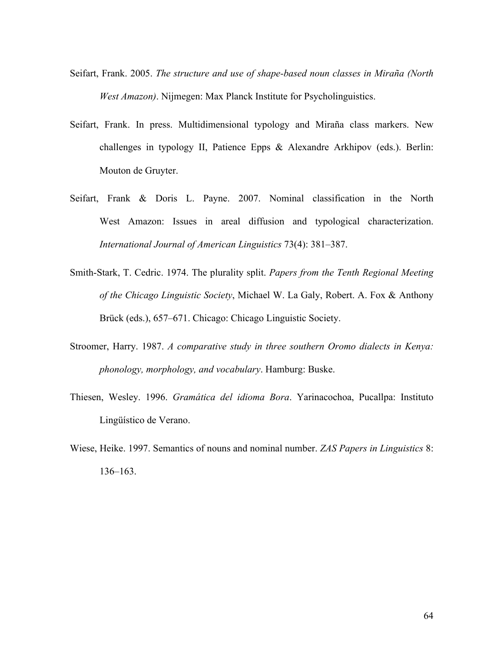- Seifart, Frank. 2005. *The structure and use of shape-based noun classes in Miraña (North West Amazon)*. Nijmegen: Max Planck Institute for Psycholinguistics.
- Seifart, Frank. In press. Multidimensional typology and Miraña class markers. New challenges in typology II, Patience Epps & Alexandre Arkhipov (eds.). Berlin: Mouton de Gruyter.
- Seifart, Frank & Doris L. Payne. 2007. Nominal classification in the North West Amazon: Issues in areal diffusion and typological characterization. *International Journal of American Linguistics* 73(4): 381–387.
- Smith-Stark, T. Cedric. 1974. The plurality split. *Papers from the Tenth Regional Meeting of the Chicago Linguistic Society*, Michael W. La Galy, Robert. A. Fox & Anthony Brück (eds.), 657–671. Chicago: Chicago Linguistic Society.
- Stroomer, Harry. 1987. *A comparative study in three southern Oromo dialects in Kenya: phonology, morphology, and vocabulary*. Hamburg: Buske.
- Thiesen, Wesley. 1996. *Gramática del idioma Bora*. Yarinacochoa, Pucallpa: Instituto Lingüístico de Verano.
- Wiese, Heike. 1997. Semantics of nouns and nominal number. *ZAS Papers in Linguistics* 8: 136–163.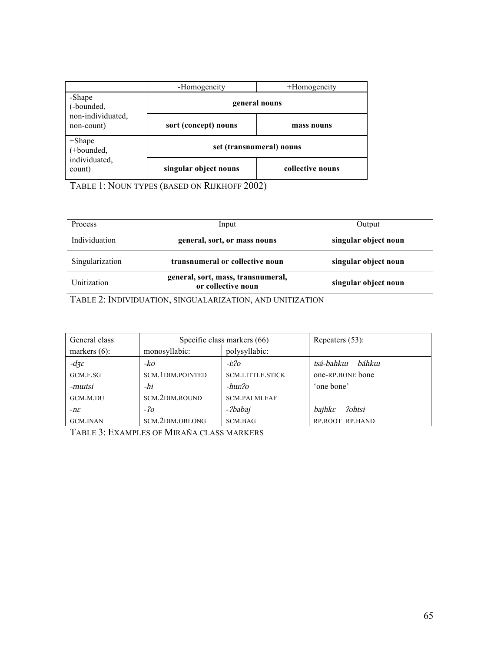|                                 | -Homogeneity             | +Homogeneity     |  |
|---------------------------------|--------------------------|------------------|--|
| -Shape<br>(-bounded,            | general nouns            |                  |  |
| non-individuated,<br>non-count) | sort (concept) nouns     | mass nouns       |  |
| $+$ Shape<br>(+bounded,         | set (transnumeral) nouns |                  |  |
| individuated,<br>count)         | singular object nouns    | collective nouns |  |

TABLE 1: NOUN TYPES (BASED ON RIJKHOFF 2002)

| Process         | Input                                                    | Output               |  |
|-----------------|----------------------------------------------------------|----------------------|--|
| Individuation   | general, sort, or mass nouns                             | singular object noun |  |
| Singularization | transnumeral or collective noun<br>singular object noun  |                      |  |
| Unitization     | general, sort, mass, transnumeral,<br>or collective noun | singular object noun |  |

TABLE 2: INDIVIDUATION, SINGUALARIZATION, AND UNITIZATION

| General class               | Specific class markers (66) |                         | Repeaters $(53)$ :              |
|-----------------------------|-----------------------------|-------------------------|---------------------------------|
| markers $(6)$ :             | monosyllabic:               | polysyllabic:           |                                 |
| $-d\overline{z}\varepsilon$ | -ko                         | -i:?o                   | tsá-bahkui<br>báhkui            |
| GCM.F.SG                    | SCM. 1DIM. POINTED          | <b>SCM.LITTLE.STICK</b> | one-RP.BONE bone                |
| -mutsi                      | -hɨ                         | -hur:?o                 | 'one bone'                      |
| GCM.M.DU                    | SCM.2DIM.ROUND              | <b>SCM.PALMLEAF</b>     |                                 |
| $-n\varepsilon$             | $-2o$                       | -?babaj                 | <i><u> ?ohtsi</u></i><br>bajhke |
| <b>GCM.INAN</b>             | SCM.2DIM.OBLONG             | SCM.BAG                 | RP.ROOT RP.HAND                 |

TABLE 3: EXAMPLES OF MIRAÑA CLASS MARKERS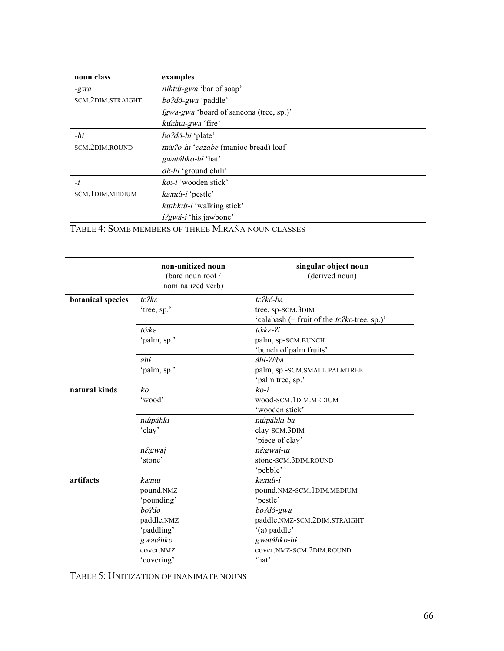| noun class                                         | examples                                       |  |
|----------------------------------------------------|------------------------------------------------|--|
| -gwa                                               | nihtú-gwa 'bar of soap'                        |  |
| SCM.2DIM.STRAIGHT                                  | <i>bo?dó-gwa</i> 'paddle'                      |  |
|                                                    | <i>ígwa-gwa</i> 'board of sancona (tree, sp.)' |  |
|                                                    | kú:hu-gwa 'fire'                               |  |
| $-hi$                                              | <i>bo?dó-hi</i> 'plate'                        |  |
| SCM.2DIM.ROUND                                     | <i>má:?o-hi 'cazabe</i> (manioc bread) loaf'   |  |
|                                                    | gwatáhko-hi 'hat'                              |  |
|                                                    | $di$ -hi 'ground chili'                        |  |
| -i                                                 | $k_0$ :- <i>i</i> 'wooden stick'               |  |
| SCM.1DIM.MEDIUM                                    | ka:nú-i 'pestle'                               |  |
|                                                    | <i>kuthkú -i</i> 'walking stick'               |  |
|                                                    | <i>i?gwá-i</i> 'his jawbone'                   |  |
| TABLE 4: SOME MEMBERS OF THREE MIRAÑA NOUN CLASSES |                                                |  |

|                   | non-unitized noun                      | singular object noun                           |
|-------------------|----------------------------------------|------------------------------------------------|
|                   | (bare noun root /<br>nominalized verb) | (derived noun)                                 |
| botanical species | $te$ ? $ke$                            | te?ké-ba                                       |
|                   | 'tree, sp.'                            | tree, sp-SCM.3DIM                              |
|                   |                                        | 'calabash (= fruit of the $te2ke$ -tree, sp.)' |
|                   | tó:ke                                  | tó:ke-?i                                       |
|                   | 'palm, sp.'                            | palm, sp-SCM.BUNCH                             |
|                   |                                        | 'bunch of palm fruits'                         |
|                   | ahi                                    | áhi-?í:ba                                      |
|                   | 'palm, sp.'                            | palm, sp.-SCM.SMALL.PALMTREE                   |
|                   |                                        | 'palm tree, sp.'                               |
| natural kinds     | ko                                     | $ko-i$                                         |
|                   | 'wood'                                 | wood-SCM.1DIM.MEDIUM                           |
|                   |                                        | 'wooden stick'                                 |
|                   | núpáhki                                | núpáhki-ba                                     |
|                   | 'clay'                                 | clay-SCM.3DIM                                  |
|                   |                                        | 'piece of clay'                                |
|                   | né:gwaj                                | né:gwaj-u                                      |
|                   | 'stone'                                | stone-SCM.3DIM.ROUND                           |
|                   |                                        | 'pebble'                                       |
| artifacts         | ka:nui                                 | ka:núi-i                                       |
|                   | pound.NMZ                              | pound.NMZ-SCM.1DIM.MEDIUM                      |
|                   | 'pounding'                             | 'pestle'                                       |
|                   | bo?do                                  | bo?dó-gwa                                      |
|                   | paddle.NMZ                             | paddle.NMZ-SCM.2DIM.STRAIGHT                   |
|                   | 'paddling'                             | '(a) paddle'                                   |
|                   | gwatáhko                               | gwatáhko-hi                                    |
|                   | cover.NMZ                              | cover.NMZ-SCM.2DIM.ROUND                       |
|                   | 'covering'                             | 'hat'                                          |

TABLE 5: UNITIZATION OF INANIMATE NOUNS

 $\overline{\phantom{0}}$ 

÷,

 $\overline{\phantom{0}}$ 

 $\sim$ 

 $\overline{\phantom{0}}$ 

 $\overline{\phantom{a}}$